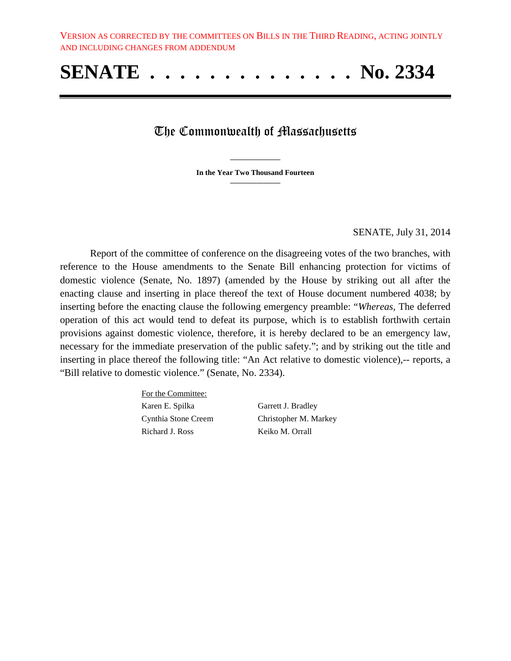## **SENATE . . . . . . . . . . . . . . No. 2334**

## The Commonwealth of Massachusetts

**\_\_\_\_\_\_\_\_\_\_\_\_\_\_\_ In the Year Two Thousand Fourteen \_\_\_\_\_\_\_\_\_\_\_\_\_\_\_**

SENATE, July 31, 2014

Report of the committee of conference on the disagreeing votes of the two branches, with reference to the House amendments to the Senate Bill enhancing protection for victims of domestic violence (Senate, No. 1897) (amended by the House by striking out all after the enacting clause and inserting in place thereof the text of House document numbered 4038; by inserting before the enacting clause the following emergency preamble: "*Whereas,* The deferred operation of this act would tend to defeat its purpose, which is to establish forthwith certain provisions against domestic violence, therefore, it is hereby declared to be an emergency law, necessary for the immediate preservation of the public safety."; and by striking out the title and inserting in place thereof the following title: "An Act relative to domestic violence),-- reports, a "Bill relative to domestic violence." (Senate, No. 2334).

> For the Committee: Karen E. Spilka Garrett J. Bradley Richard J. Ross Keiko M. Orrall

Cynthia Stone Creem Christopher M. Markey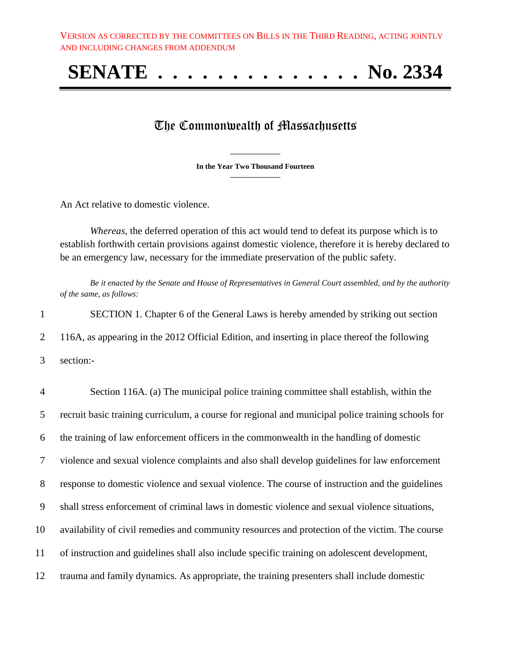# **SENATE . . . . . . . . . . . . . . No. 2334**

### The Commonwealth of Massachusetts

**\_\_\_\_\_\_\_\_\_\_\_\_\_\_\_ In the Year Two Thousand Fourteen \_\_\_\_\_\_\_\_\_\_\_\_\_\_\_**

An Act relative to domestic violence.

*Whereas,* the deferred operation of this act would tend to defeat its purpose which is to establish forthwith certain provisions against domestic violence, therefore it is hereby declared to be an emergency law, necessary for the immediate preservation of the public safety.

*Be it enacted by the Senate and House of Representatives in General Court assembled, and by the authority of the same, as follows:*

1 SECTION 1. Chapter 6 of the General Laws is hereby amended by striking out section 2 116A, as appearing in the 2012 Official Edition, and inserting in place thereof the following 3 section:-

 Section 116A. (a) The municipal police training committee shall establish, within the recruit basic training curriculum, a course for regional and municipal police training schools for the training of law enforcement officers in the commonwealth in the handling of domestic violence and sexual violence complaints and also shall develop guidelines for law enforcement response to domestic violence and sexual violence. The course of instruction and the guidelines shall stress enforcement of criminal laws in domestic violence and sexual violence situations, availability of civil remedies and community resources and protection of the victim. The course of instruction and guidelines shall also include specific training on adolescent development, trauma and family dynamics. As appropriate, the training presenters shall include domestic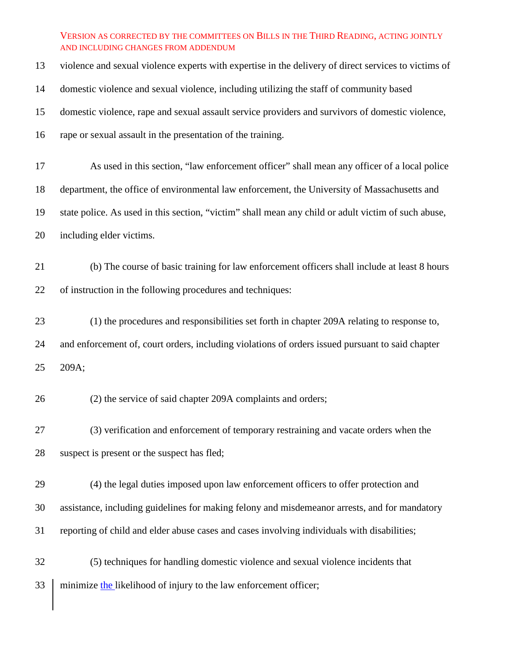violence and sexual violence experts with expertise in the delivery of direct services to victims of

domestic violence and sexual violence, including utilizing the staff of community based

domestic violence, rape and sexual assault service providers and survivors of domestic violence,

rape or sexual assault in the presentation of the training.

As used in this section, "law enforcement officer" shall mean any officer of a local police

department, the office of environmental law enforcement, the University of Massachusetts and

state police. As used in this section, "victim" shall mean any child or adult victim of such abuse,

including elder victims.

 (b) The course of basic training for law enforcement officers shall include at least 8 hours of instruction in the following procedures and techniques:

 (1) the procedures and responsibilities set forth in chapter 209A relating to response to, and enforcement of, court orders, including violations of orders issued pursuant to said chapter 209A;

(2) the service of said chapter 209A complaints and orders;

 (3) verification and enforcement of temporary restraining and vacate orders when the suspect is present or the suspect has fled;

 (4) the legal duties imposed upon law enforcement officers to offer protection and assistance, including guidelines for making felony and misdemeanor arrests, and for mandatory reporting of child and elder abuse cases and cases involving individuals with disabilities;

 (5) techniques for handling domestic violence and sexual violence incidents that 33 minimize the likelihood of injury to the law enforcement officer;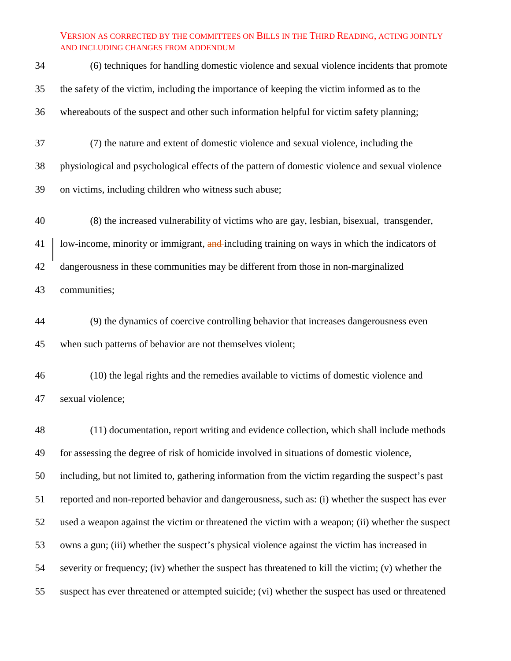| 34 | (6) techniques for handling domestic violence and sexual violence incidents that promote           |
|----|----------------------------------------------------------------------------------------------------|
| 35 | the safety of the victim, including the importance of keeping the victim informed as to the        |
| 36 | whereabouts of the suspect and other such information helpful for victim safety planning;          |
| 37 | (7) the nature and extent of domestic violence and sexual violence, including the                  |
| 38 | physiological and psychological effects of the pattern of domestic violence and sexual violence    |
| 39 | on victims, including children who witness such abuse;                                             |
| 40 | (8) the increased vulnerability of victims who are gay, lesbian, bisexual, transgender,            |
| 41 | low-income, minority or immigrant, and including training on ways in which the indicators of       |
| 42 | dangerousness in these communities may be different from those in non-marginalized                 |
| 43 | communities;                                                                                       |
| 44 | (9) the dynamics of coercive controlling behavior that increases dangerousness even                |
| 45 | when such patterns of behavior are not themselves violent;                                         |
| 46 | (10) the legal rights and the remedies available to victims of domestic violence and               |
| 47 | sexual violence;                                                                                   |
| 48 | (11) documentation, report writing and evidence collection, which shall include methods            |
| 49 | for assessing the degree of risk of homicide involved in situations of domestic violence,          |
| 50 | including, but not limited to, gathering information from the victim regarding the suspect's past  |
| 51 | reported and non-reported behavior and dangerousness, such as: (i) whether the suspect has ever    |
| 52 | used a weapon against the victim or threatened the victim with a weapon; (ii) whether the suspect  |
| 53 | owns a gun; (iii) whether the suspect's physical violence against the victim has increased in      |
| 54 | severity or frequency; (iv) whether the suspect has threatened to kill the victim; (v) whether the |
| 55 | suspect has ever threatened or attempted suicide; (vi) whether the suspect has used or threatened  |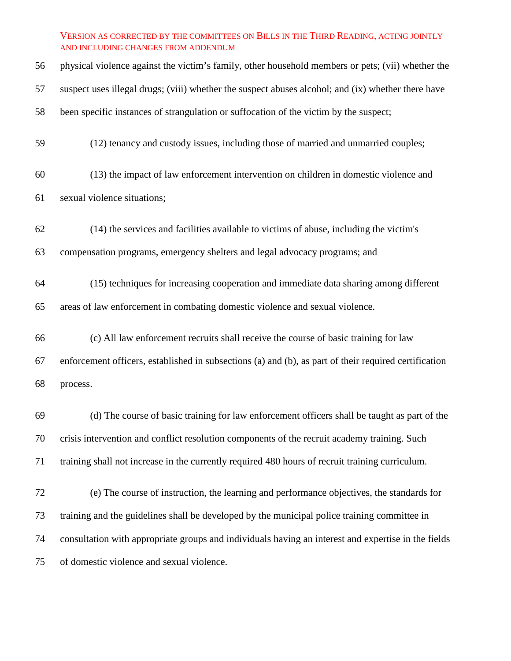| 56 | physical violence against the victim's family, other household members or pets; (vii) whether the     |
|----|-------------------------------------------------------------------------------------------------------|
| 57 | suspect uses illegal drugs; (viii) whether the suspect abuses alcohol; and (ix) whether there have    |
| 58 | been specific instances of strangulation or suffocation of the victim by the suspect;                 |
| 59 | (12) tenancy and custody issues, including those of married and unmarried couples;                    |
| 60 | (13) the impact of law enforcement intervention on children in domestic violence and                  |
| 61 | sexual violence situations;                                                                           |
| 62 | (14) the services and facilities available to victims of abuse, including the victim's                |
| 63 | compensation programs, emergency shelters and legal advocacy programs; and                            |
| 64 | (15) techniques for increasing cooperation and immediate data sharing among different                 |
| 65 | areas of law enforcement in combating domestic violence and sexual violence.                          |
| 66 | (c) All law enforcement recruits shall receive the course of basic training for law                   |
| 67 | enforcement officers, established in subsections (a) and (b), as part of their required certification |
| 68 | process.                                                                                              |
| 69 | (d) The course of basic training for law enforcement officers shall be taught as part of the          |
| 70 | crisis intervention and conflict resolution components of the recruit academy training. Such          |
| 71 | training shall not increase in the currently required 480 hours of recruit training curriculum.       |
| 72 | (e) The course of instruction, the learning and performance objectives, the standards for             |
| 73 | training and the guidelines shall be developed by the municipal police training committee in          |
| 74 | consultation with appropriate groups and individuals having an interest and expertise in the fields   |
| 75 | of domestic violence and sexual violence.                                                             |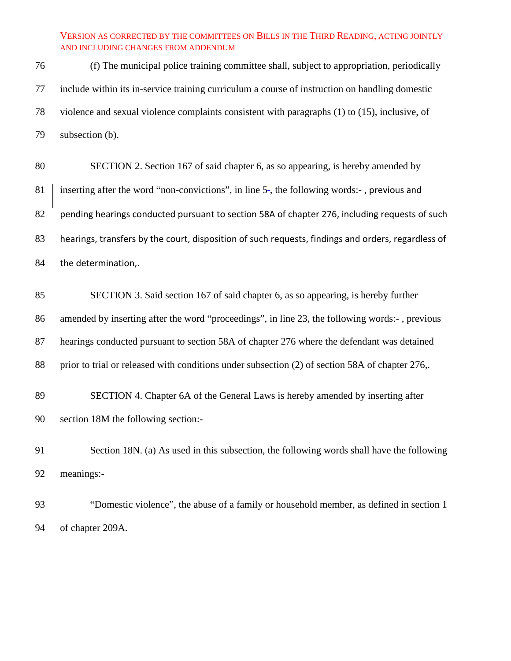(f) The municipal police training committee shall, subject to appropriation, periodically include within its in-service training curriculum a course of instruction on handling domestic violence and sexual violence complaints consistent with paragraphs (1) to (15), inclusive, of subsection (b).

 SECTION 2. Section 167 of said chapter 6, as so appearing, is hereby amended by 81 inserting after the word "non-convictions", in line 5-, the following words:-, previous and pending hearings conducted pursuant to section 58A of chapter 276, including requests of such hearings, transfers by the court, disposition of such requests, findings and orders, regardless of the determination,.

 SECTION 3. Said section 167 of said chapter 6, as so appearing, is hereby further amended by inserting after the word "proceedings", in line 23, the following words:- , previous hearings conducted pursuant to section 58A of chapter 276 where the defendant was detained prior to trial or released with conditions under subsection (2) of section 58A of chapter 276,.

 SECTION 4. Chapter 6A of the General Laws is hereby amended by inserting after section 18M the following section:-

 Section 18N. (a) As used in this subsection, the following words shall have the following meanings:-

 "Domestic violence", the abuse of a family or household member, as defined in section 1 of chapter 209A.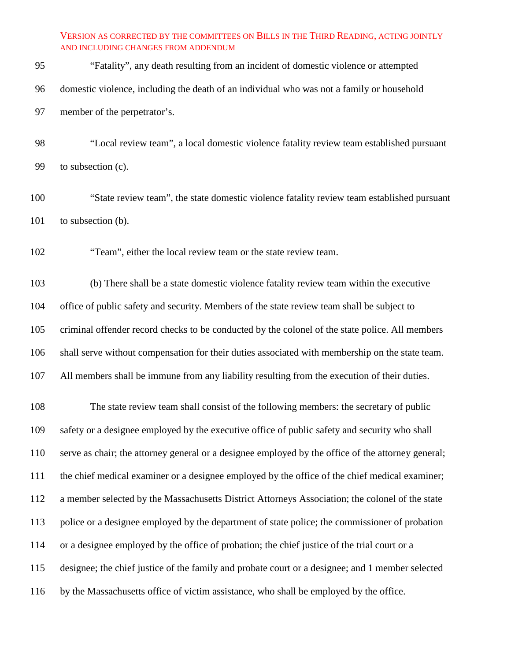| -95 | "Fatality", any death resulting from an incident of domestic violence or attempted        |
|-----|-------------------------------------------------------------------------------------------|
| -96 | domestic violence, including the death of an individual who was not a family or household |
| -97 | member of the perpetrator's.                                                              |

 "Local review team", a local domestic violence fatality review team established pursuant to subsection (c).

 "State review team", the state domestic violence fatality review team established pursuant 101 to subsection (b).

"Team", either the local review team or the state review team.

 (b) There shall be a state domestic violence fatality review team within the executive office of public safety and security. Members of the state review team shall be subject to criminal offender record checks to be conducted by the colonel of the state police. All members shall serve without compensation for their duties associated with membership on the state team. All members shall be immune from any liability resulting from the execution of their duties.

 The state review team shall consist of the following members: the secretary of public safety or a designee employed by the executive office of public safety and security who shall serve as chair; the attorney general or a designee employed by the office of the attorney general; the chief medical examiner or a designee employed by the office of the chief medical examiner; a member selected by the Massachusetts District Attorneys Association; the colonel of the state police or a designee employed by the department of state police; the commissioner of probation or a designee employed by the office of probation; the chief justice of the trial court or a designee; the chief justice of the family and probate court or a designee; and 1 member selected by the Massachusetts office of victim assistance, who shall be employed by the office.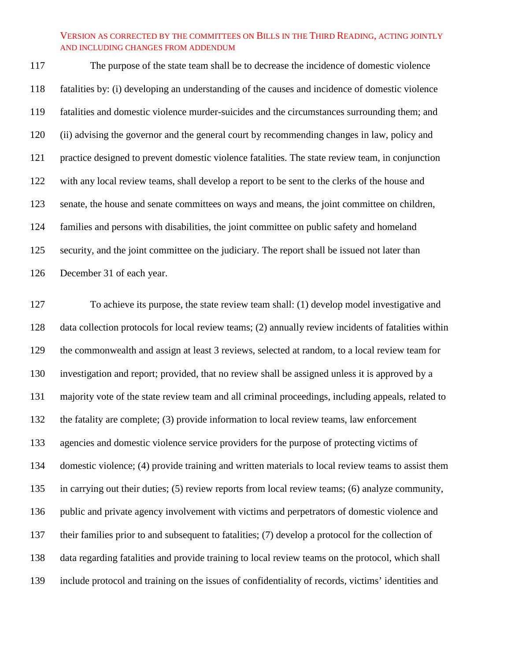The purpose of the state team shall be to decrease the incidence of domestic violence fatalities by: (i) developing an understanding of the causes and incidence of domestic violence fatalities and domestic violence murder-suicides and the circumstances surrounding them; and (ii) advising the governor and the general court by recommending changes in law, policy and practice designed to prevent domestic violence fatalities. The state review team, in conjunction with any local review teams, shall develop a report to be sent to the clerks of the house and senate, the house and senate committees on ways and means, the joint committee on children, families and persons with disabilities, the joint committee on public safety and homeland 125 security, and the joint committee on the judiciary. The report shall be issued not later than December 31 of each year.

 To achieve its purpose, the state review team shall: (1) develop model investigative and data collection protocols for local review teams; (2) annually review incidents of fatalities within the commonwealth and assign at least 3 reviews, selected at random, to a local review team for investigation and report; provided, that no review shall be assigned unless it is approved by a majority vote of the state review team and all criminal proceedings, including appeals, related to the fatality are complete; (3) provide information to local review teams, law enforcement agencies and domestic violence service providers for the purpose of protecting victims of domestic violence; (4) provide training and written materials to local review teams to assist them in carrying out their duties; (5) review reports from local review teams; (6) analyze community, public and private agency involvement with victims and perpetrators of domestic violence and their families prior to and subsequent to fatalities; (7) develop a protocol for the collection of data regarding fatalities and provide training to local review teams on the protocol, which shall include protocol and training on the issues of confidentiality of records, victims' identities and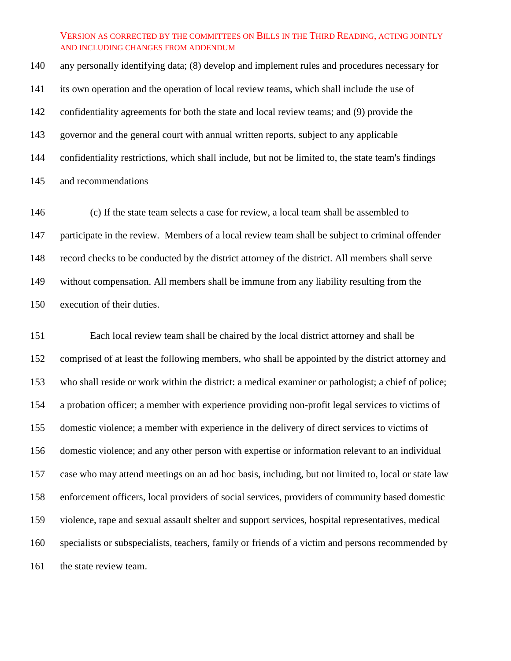any personally identifying data; (8) develop and implement rules and procedures necessary for its own operation and the operation of local review teams, which shall include the use of confidentiality agreements for both the state and local review teams; and (9) provide the governor and the general court with annual written reports, subject to any applicable confidentiality restrictions, which shall include, but not be limited to, the state team's findings and recommendations

 (c) If the state team selects a case for review, a local team shall be assembled to participate in the review. Members of a local review team shall be subject to criminal offender record checks to be conducted by the district attorney of the district. All members shall serve without compensation. All members shall be immune from any liability resulting from the execution of their duties.

 Each local review team shall be chaired by the local district attorney and shall be comprised of at least the following members, who shall be appointed by the district attorney and who shall reside or work within the district: a medical examiner or pathologist; a chief of police; a probation officer; a member with experience providing non-profit legal services to victims of domestic violence; a member with experience in the delivery of direct services to victims of domestic violence; and any other person with expertise or information relevant to an individual case who may attend meetings on an ad hoc basis, including, but not limited to, local or state law enforcement officers, local providers of social services, providers of community based domestic violence, rape and sexual assault shelter and support services, hospital representatives, medical specialists or subspecialists, teachers, family or friends of a victim and persons recommended by 161 the state review team.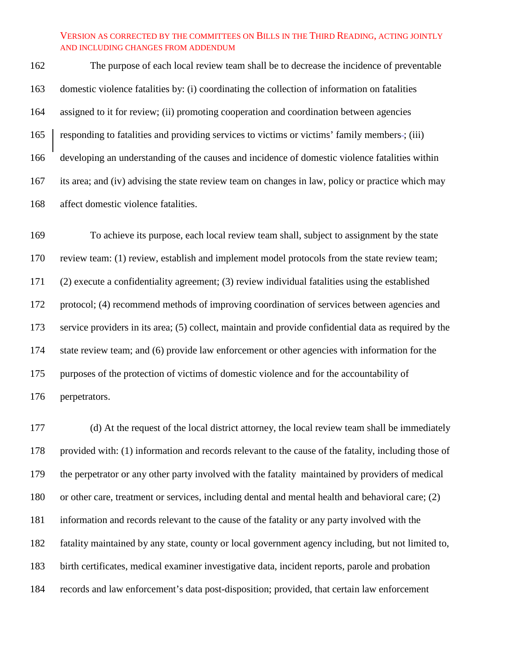The purpose of each local review team shall be to decrease the incidence of preventable domestic violence fatalities by: (i) coordinating the collection of information on fatalities assigned to it for review; (ii) promoting cooperation and coordination between agencies 165 responding to fatalities and providing services to victims or victims' family members-; (iii) developing an understanding of the causes and incidence of domestic violence fatalities within its area; and (iv) advising the state review team on changes in law, policy or practice which may affect domestic violence fatalities.

 To achieve its purpose, each local review team shall, subject to assignment by the state review team: (1) review, establish and implement model protocols from the state review team; (2) execute a confidentiality agreement; (3) review individual fatalities using the established protocol; (4) recommend methods of improving coordination of services between agencies and service providers in its area; (5) collect, maintain and provide confidential data as required by the state review team; and (6) provide law enforcement or other agencies with information for the purposes of the protection of victims of domestic violence and for the accountability of perpetrators.

 (d) At the request of the local district attorney, the local review team shall be immediately provided with: (1) information and records relevant to the cause of the fatality, including those of the perpetrator or any other party involved with the fatality maintained by providers of medical or other care, treatment or services, including dental and mental health and behavioral care; (2) information and records relevant to the cause of the fatality or any party involved with the fatality maintained by any state, county or local government agency including, but not limited to, birth certificates, medical examiner investigative data, incident reports, parole and probation records and law enforcement's data post-disposition; provided, that certain law enforcement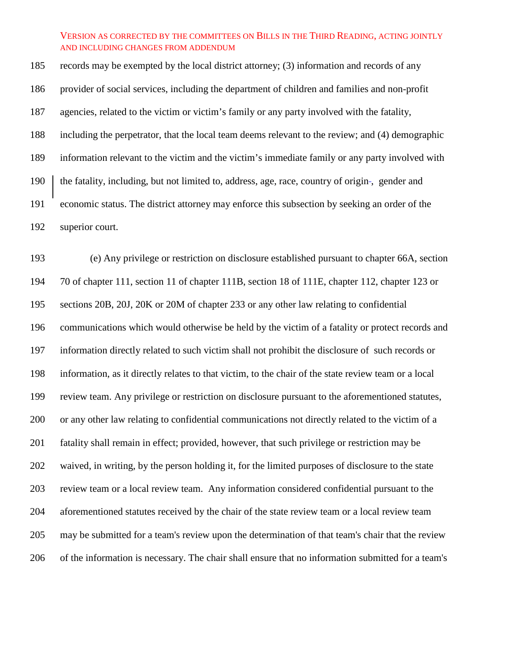records may be exempted by the local district attorney; (3) information and records of any provider of social services, including the department of children and families and non-profit agencies, related to the victim or victim's family or any party involved with the fatality, including the perpetrator, that the local team deems relevant to the review; and (4) demographic information relevant to the victim and the victim's immediate family or any party involved with 190 the fatality, including, but not limited to, address, age, race, country of origin-, gender and economic status. The district attorney may enforce this subsection by seeking an order of the superior court.

 (e) Any privilege or restriction on disclosure established pursuant to chapter 66A, section 70 of chapter 111, section 11 of chapter 111B, section 18 of 111E, chapter 112, chapter 123 or sections 20B, 20J, 20K or 20M of chapter 233 or any other law relating to confidential communications which would otherwise be held by the victim of a fatality or protect records and information directly related to such victim shall not prohibit the disclosure of such records or information, as it directly relates to that victim, to the chair of the state review team or a local review team. Any privilege or restriction on disclosure pursuant to the aforementioned statutes, or any other law relating to confidential communications not directly related to the victim of a fatality shall remain in effect; provided, however, that such privilege or restriction may be waived, in writing, by the person holding it, for the limited purposes of disclosure to the state review team or a local review team. Any information considered confidential pursuant to the aforementioned statutes received by the chair of the state review team or a local review team may be submitted for a team's review upon the determination of that team's chair that the review of the information is necessary. The chair shall ensure that no information submitted for a team's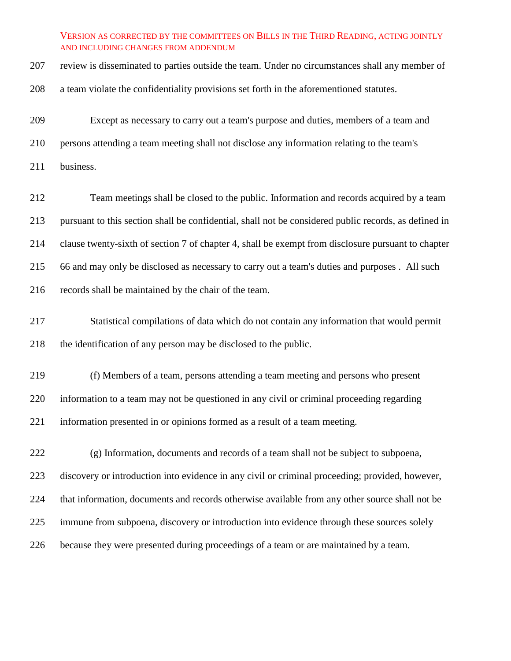| 207 | review is disseminated to parties outside the team. Under no circumstances shall any member of        |
|-----|-------------------------------------------------------------------------------------------------------|
| 208 | a team violate the confidentiality provisions set forth in the aforementioned statutes.               |
| 209 | Except as necessary to carry out a team's purpose and duties, members of a team and                   |
| 210 | persons attending a team meeting shall not disclose any information relating to the team's            |
| 211 | business.                                                                                             |
| 212 | Team meetings shall be closed to the public. Information and records acquired by a team               |
| 213 | pursuant to this section shall be confidential, shall not be considered public records, as defined in |
| 214 | clause twenty-sixth of section 7 of chapter 4, shall be exempt from disclosure pursuant to chapter    |
| 215 | 66 and may only be disclosed as necessary to carry out a team's duties and purposes. All such         |
| 216 | records shall be maintained by the chair of the team.                                                 |
| 217 | Statistical compilations of data which do not contain any information that would permit               |
| 218 | the identification of any person may be disclosed to the public.                                      |
| 219 | (f) Members of a team, persons attending a team meeting and persons who present                       |
| 220 | information to a team may not be questioned in any civil or criminal proceeding regarding             |
| 221 | information presented in or opinions formed as a result of a team meeting.                            |
| 222 | (g) Information, documents and records of a team shall not be subject to subpoena,                    |
| 223 | discovery or introduction into evidence in any civil or criminal proceeding; provided, however,       |
| 224 | that information, documents and records otherwise available from any other source shall not be        |
| 225 | immune from subpoena, discovery or introduction into evidence through these sources solely            |
| 226 | because they were presented during proceedings of a team or are maintained by a team.                 |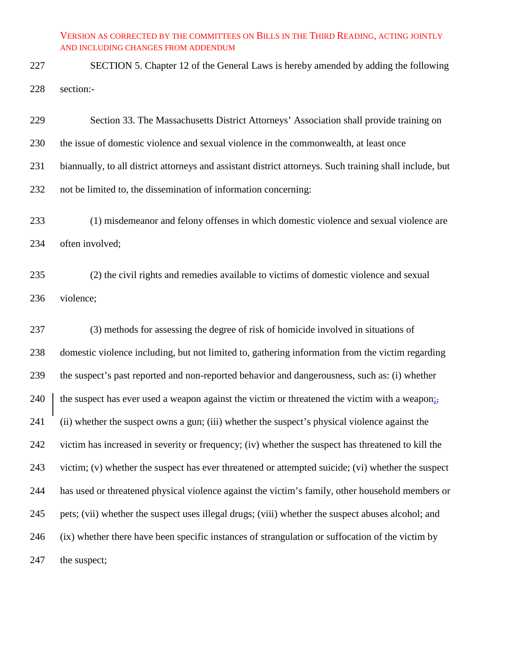SECTION 5. Chapter 12 of the General Laws is hereby amended by adding the following section:-

 Section 33. The Massachusetts District Attorneys' Association shall provide training on the issue of domestic violence and sexual violence in the commonwealth, at least once biannually, to all district attorneys and assistant district attorneys. Such training shall include, but not be limited to, the dissemination of information concerning: (1) misdemeanor and felony offenses in which domestic violence and sexual violence are

often involved;

 (2) the civil rights and remedies available to victims of domestic violence and sexual violence;

 (3) methods for assessing the degree of risk of homicide involved in situations of domestic violence including, but not limited to, gathering information from the victim regarding the suspect's past reported and non-reported behavior and dangerousness, such as: (i) whether 240 the suspect has ever used a weapon against the victim or threatened the victim with a weapon; (ii) whether the suspect owns a gun; (iii) whether the suspect's physical violence against the victim has increased in severity or frequency; (iv) whether the suspect has threatened to kill the victim; (v) whether the suspect has ever threatened or attempted suicide; (vi) whether the suspect has used or threatened physical violence against the victim's family, other household members or pets; (vii) whether the suspect uses illegal drugs; (viii) whether the suspect abuses alcohol; and (ix) whether there have been specific instances of strangulation or suffocation of the victim by 247 the suspect;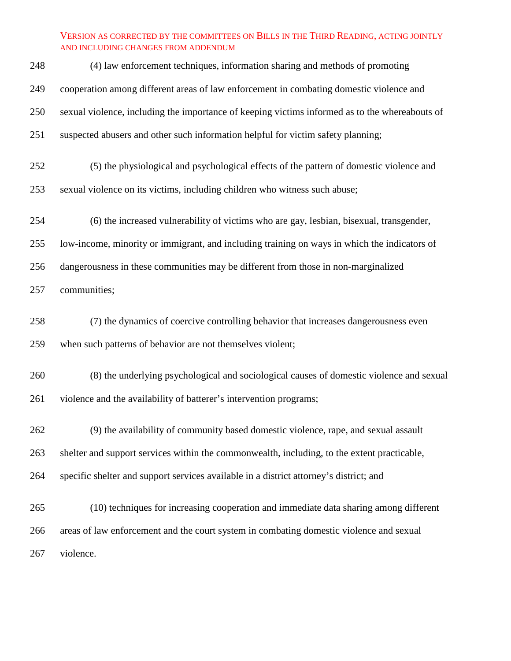| 248 | (4) law enforcement techniques, information sharing and methods of promoting                   |
|-----|------------------------------------------------------------------------------------------------|
| 249 | cooperation among different areas of law enforcement in combating domestic violence and        |
| 250 | sexual violence, including the importance of keeping victims informed as to the whereabouts of |
| 251 | suspected abusers and other such information helpful for victim safety planning;               |
| 252 | (5) the physiological and psychological effects of the pattern of domestic violence and        |
| 253 | sexual violence on its victims, including children who witness such abuse;                     |
| 254 | (6) the increased vulnerability of victims who are gay, lesbian, bisexual, transgender,        |
| 255 | low-income, minority or immigrant, and including training on ways in which the indicators of   |
| 256 | dangerousness in these communities may be different from those in non-marginalized             |
| 257 | communities;                                                                                   |
| 258 | (7) the dynamics of coercive controlling behavior that increases dangerousness even            |
| 259 | when such patterns of behavior are not themselves violent;                                     |
| 260 | (8) the underlying psychological and sociological causes of domestic violence and sexual       |
| 261 | violence and the availability of batterer's intervention programs;                             |
| 262 | (9) the availability of community based domestic violence, rape, and sexual assault            |
| 263 | shelter and support services within the commonwealth, including, to the extent practicable,    |
| 264 | specific shelter and support services available in a district attorney's district; and         |
| 265 | (10) techniques for increasing cooperation and immediate data sharing among different          |
| 266 | areas of law enforcement and the court system in combating domestic violence and sexual        |
| 267 | violence.                                                                                      |
|     |                                                                                                |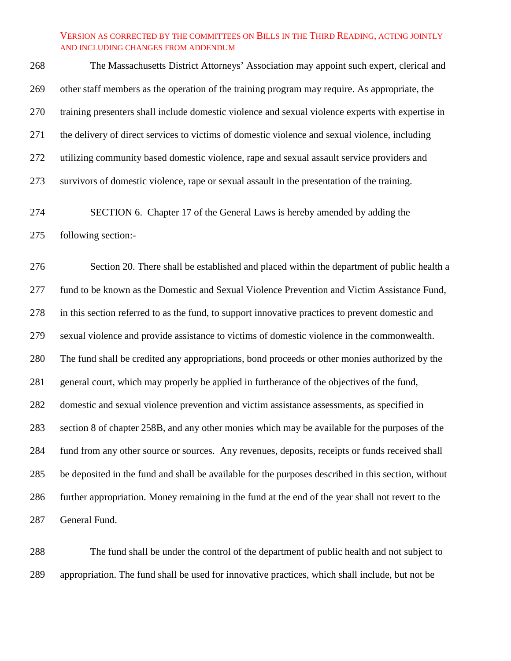The Massachusetts District Attorneys' Association may appoint such expert, clerical and other staff members as the operation of the training program may require. As appropriate, the training presenters shall include domestic violence and sexual violence experts with expertise in the delivery of direct services to victims of domestic violence and sexual violence, including utilizing community based domestic violence, rape and sexual assault service providers and survivors of domestic violence, rape or sexual assault in the presentation of the training.

 SECTION 6. Chapter 17 of the General Laws is hereby amended by adding the following section:-

 Section 20. There shall be established and placed within the department of public health a fund to be known as the Domestic and Sexual Violence Prevention and Victim Assistance Fund, in this section referred to as the fund, to support innovative practices to prevent domestic and sexual violence and provide assistance to victims of domestic violence in the commonwealth. The fund shall be credited any appropriations, bond proceeds or other monies authorized by the general court, which may properly be applied in furtherance of the objectives of the fund, domestic and sexual violence prevention and victim assistance assessments, as specified in section 8 of chapter 258B, and any other monies which may be available for the purposes of the fund from any other source or sources. Any revenues, deposits, receipts or funds received shall be deposited in the fund and shall be available for the purposes described in this section, without further appropriation. Money remaining in the fund at the end of the year shall not revert to the General Fund.

 The fund shall be under the control of the department of public health and not subject to appropriation. The fund shall be used for innovative practices, which shall include, but not be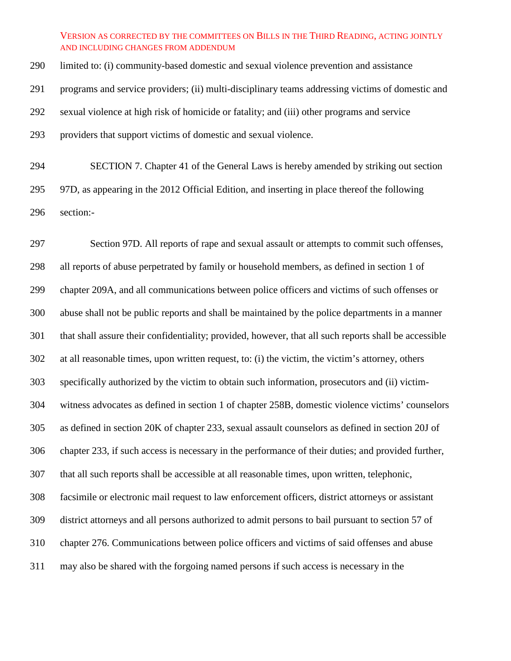limited to: (i) community-based domestic and sexual violence prevention and assistance programs and service providers; (ii) multi-disciplinary teams addressing victims of domestic and sexual violence at high risk of homicide or fatality; and (iii) other programs and service providers that support victims of domestic and sexual violence.

 SECTION 7. Chapter 41 of the General Laws is hereby amended by striking out section 97D, as appearing in the 2012 Official Edition, and inserting in place thereof the following section:-

 Section 97D. All reports of rape and sexual assault or attempts to commit such offenses, all reports of abuse perpetrated by family or household members, as defined in section 1 of chapter 209A, and all communications between police officers and victims of such offenses or abuse shall not be public reports and shall be maintained by the police departments in a manner that shall assure their confidentiality; provided, however, that all such reports shall be accessible at all reasonable times, upon written request, to: (i) the victim, the victim's attorney, others specifically authorized by the victim to obtain such information, prosecutors and (ii) victim- witness advocates as defined in section 1 of chapter 258B, domestic violence victims' counselors as defined in section 20K of chapter 233, sexual assault counselors as defined in section 20J of chapter 233, if such access is necessary in the performance of their duties; and provided further, that all such reports shall be accessible at all reasonable times, upon written, telephonic, facsimile or electronic mail request to law enforcement officers, district attorneys or assistant district attorneys and all persons authorized to admit persons to bail pursuant to section 57 of chapter 276. Communications between police officers and victims of said offenses and abuse may also be shared with the forgoing named persons if such access is necessary in the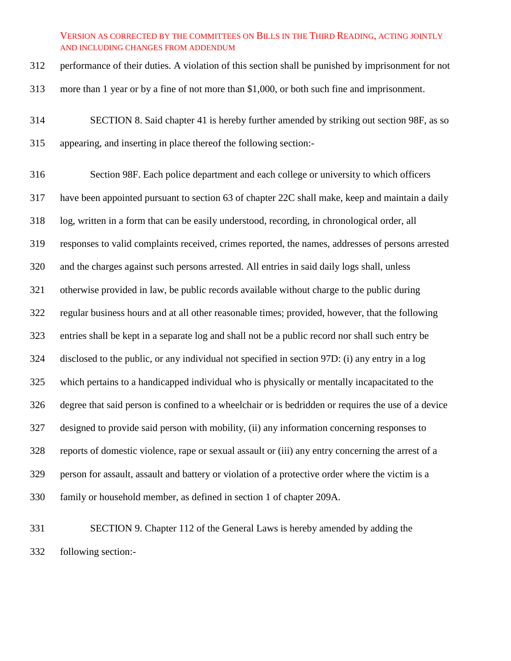performance of their duties. A violation of this section shall be punished by imprisonment for not

more than 1 year or by a fine of not more than \$1,000, or both such fine and imprisonment.

 SECTION 8. Said chapter 41 is hereby further amended by striking out section 98F, as so appearing, and inserting in place thereof the following section:-

 Section 98F. Each police department and each college or university to which officers have been appointed pursuant to section 63 of chapter 22C shall make, keep and maintain a daily log, written in a form that can be easily understood, recording, in chronological order, all responses to valid complaints received, crimes reported, the names, addresses of persons arrested and the charges against such persons arrested. All entries in said daily logs shall, unless otherwise provided in law, be public records available without charge to the public during regular business hours and at all other reasonable times; provided, however, that the following entries shall be kept in a separate log and shall not be a public record nor shall such entry be disclosed to the public, or any individual not specified in section 97D: (i) any entry in a log which pertains to a handicapped individual who is physically or mentally incapacitated to the degree that said person is confined to a wheelchair or is bedridden or requires the use of a device designed to provide said person with mobility, (ii) any information concerning responses to reports of domestic violence, rape or sexual assault or (iii) any entry concerning the arrest of a person for assault, assault and battery or violation of a protective order where the victim is a family or household member, as defined in section 1 of chapter 209A.

 SECTION 9. Chapter 112 of the General Laws is hereby amended by adding the following section:-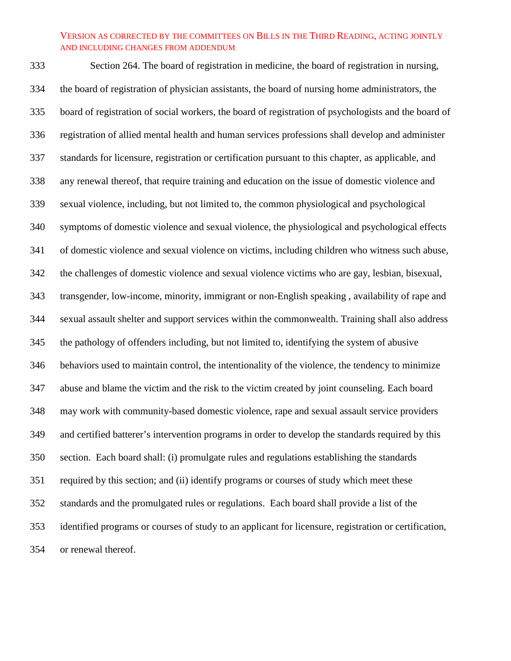Section 264. The board of registration in medicine, the board of registration in nursing, the board of registration of physician assistants, the board of nursing home administrators, the board of registration of social workers, the board of registration of psychologists and the board of registration of allied mental health and human services professions shall develop and administer standards for licensure, registration or certification pursuant to this chapter, as applicable, and any renewal thereof, that require training and education on the issue of domestic violence and sexual violence, including, but not limited to, the common physiological and psychological symptoms of domestic violence and sexual violence, the physiological and psychological effects of domestic violence and sexual violence on victims, including children who witness such abuse, the challenges of domestic violence and sexual violence victims who are gay, lesbian, bisexual, transgender, low-income, minority, immigrant or non-English speaking , availability of rape and sexual assault shelter and support services within the commonwealth. Training shall also address the pathology of offenders including, but not limited to, identifying the system of abusive behaviors used to maintain control, the intentionality of the violence, the tendency to minimize abuse and blame the victim and the risk to the victim created by joint counseling. Each board may work with community-based domestic violence, rape and sexual assault service providers and certified batterer's intervention programs in order to develop the standards required by this section. Each board shall: (i) promulgate rules and regulations establishing the standards required by this section; and (ii) identify programs or courses of study which meet these standards and the promulgated rules or regulations. Each board shall provide a list of the identified programs or courses of study to an applicant for licensure, registration or certification, or renewal thereof.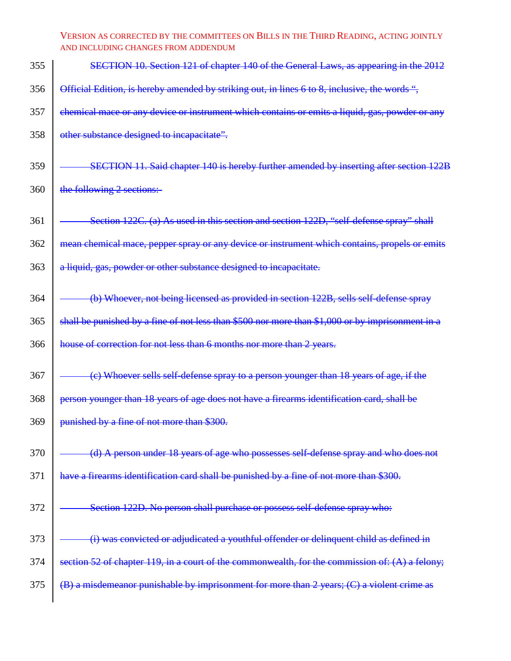| 355 | SECTION 10. Section 121 of chapter 140 of the General Laws, as appearing in the 2012             |
|-----|--------------------------------------------------------------------------------------------------|
| 356 | Official Edition, is hereby amended by striking out, in lines 6 to 8, inclusive, the words ",    |
| 357 | chemical mace or any device or instrument which contains or emits a liquid, gas, powder or any   |
| 358 | other substance designed to incapacitate".                                                       |
| 359 | SECTION 11. Said chapter 140 is hereby further amended by inserting after section 122B           |
| 360 | the following 2 sections:-                                                                       |
| 361 | Section 122C. (a) As used in this section and section 122D, "self-defense spray" shall           |
| 362 | mean chemical mace, pepper spray or any device or instrument which contains, propels or emits    |
| 363 | a liquid, gas, powder or other substance designed to incapacitate.                               |
| 364 | (b) Whoever, not being licensed as provided in section 122B, sells self-defense spray            |
| 365 | shall be punished by a fine of not less than \$500 nor more than \$1,000 or by imprisonment in a |
| 366 | house of correction for not less than 6 months nor more than 2 years.                            |
| 367 | (e) Whoever sells self-defense spray to a person younger than 18 years of age, if the            |
| 368 | person younger than 18 years of age does not have a firearms identification card, shall be       |
| 369 | punished by a fine of not more than \$300.                                                       |
| 370 | (d) A person under 18 years of age who possesses self-defense spray and who does not             |
| 371 | have a firearms identification card shall be punished by a fine of not more than \$300.          |
| 372 | Section 122D. No person shall purchase or possess self-defense spray who:                        |
| 373 | (i) was convicted or adjudicated a youthful offender or delinquent child as defined in           |
| 374 | section 52 of chapter 119, in a court of the commonwealth, for the commission of: (A) a felony;  |
| 375 | (B) a misdemeanor punishable by imprisonment for more than 2 years; (C) a violent crime as       |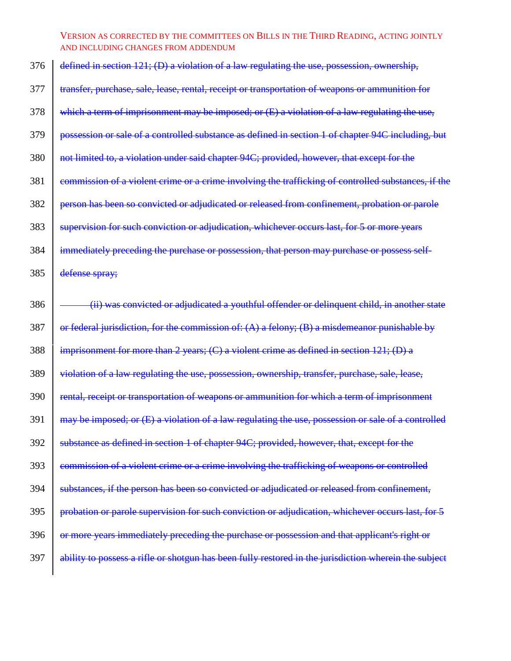| 376 | defined in section 121; (D) a violation of a law regulating the use, possession, ownership,           |
|-----|-------------------------------------------------------------------------------------------------------|
| 377 | transfer, purchase, sale, lease, rental, receipt or transportation of weapons or ammunition for       |
| 378 | which a term of imprisonment may be imposed; or (E) a violation of a law regulating the use,          |
| 379 | possession or sale of a controlled substance as defined in section 1 of chapter 94C including, but    |
| 380 | not limited to, a violation under said chapter 94C; provided, however, that except for the            |
| 381 | commission of a violent crime or a crime involving the trafficking of controlled substances, if the   |
| 382 | person has been so convicted or adjudicated or released from confinement, probation or parole         |
| 383 | supervision for such conviction or adjudication, whichever occurs last, for 5 or more years           |
| 384 | immediately preceding the purchase or possession, that person may purchase or possess self-           |
| 385 | defense spray;                                                                                        |
| 386 | (ii) was convicted or adjudicated a youthful offender or delinquent child, in another state           |
| 387 | or federal jurisdiction, for the commission of: $(A)$ a felony; $(B)$ a misdemeanor punishable by     |
| 388 | imprisonment for more than 2 years; $(C)$ a violent crime as defined in section $121$ ; $(D)$ a       |
| 389 | violation of a law regulating the use, possession, ownership, transfer, purchase, sale, lease,        |
| 390 | rental, receipt or transportation of weapons or ammunition for which a term of imprisonment           |
| 391 | may be imposed; or (E) a violation of a law regulating the use, possession or sale of a controlled    |
| 392 | substance as defined in section 1 of chapter 94C; provided, however, that, except for the             |
| 393 | commission of a violent crime or a crime involving the trafficking of weapons or controlled           |
| 394 | substances, if the person has been so convicted or adjudicated or released from confinement,          |
| 395 | probation or parole supervision for such conviction or adjudication, whichever occurs last, for 5     |
| 396 | or more years immediately preceding the purchase or possession and that applicant's right or          |
| 397 | ability to possess a rifle or shotgun has been fully restored in the jurisdiction wherein the subject |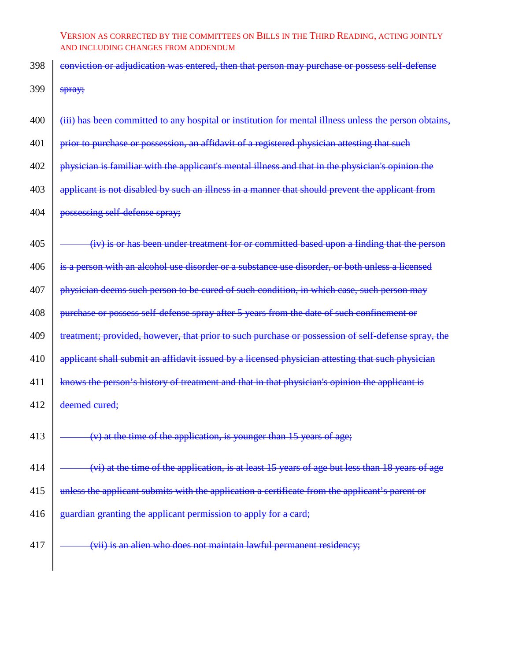- 398 conviction or adjudication was entered, then that person may purchase or possess self-defense 399  $\frac{1}{\text{spray}}$
- $400$  (iii) has been committed to any hospital or institution for mental illness unless the person obtains,
- 401 **prior to purchase or possession, an affidavit of a registered physician attesting that such**
- 402 **physician is familiar with the applicant's mental illness and that in the physician's opinion the**
- 403 applicant is not disabled by such an illness in a manner that should prevent the applicant from
- 404 **possessing self-defense spray**;
- $405$   $\sim$   $\leftarrow$   $\left(\frac{iv}{i}\right)$  is or has been under treatment for or committed based upon a finding that the person
- 406 is a person with an alcohol use disorder or a substance use disorder, or both unless a licensed
- $407$  | physician deems such person to be cured of such condition, in which case, such person may
- 408 **purchase or possess self-defense spray after 5 years from the date of such confinement or**
- 409 **treatment**; provided, however, that prior to such purchase or possession of self-defense spray, the
- 410 applicant shall submit an affidavit issued by a licensed physician attesting that such physician
- 411 knows the person's history of treatment and that in that physician's opinion the applicant is
- 412 deemed cured:
- 413  $\sim$  (v) at the time of the application, is younger than 15 years of age;
- 414 (vi) at the time of the application, is at least 15 years of age but less than 18 years of age
- 415 unless the applicant submits with the application a certificate from the applicant's parent or
- 416 guardian granting the applicant permission to apply for a card;
- 417 (vii) is an alien who does not maintain lawful permanent residency;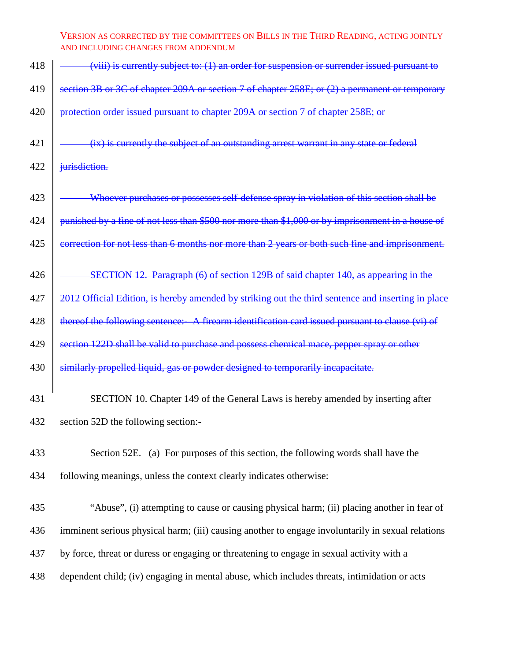| 418 | $(viii)$ is currently subject to: $(1)$ an order for suspension or surrender issued pursuant to    |
|-----|----------------------------------------------------------------------------------------------------|
| 419 | section 3B or 3C of chapter 209A or section 7 of chapter 258E; or (2) a permanent or temporary     |
| 420 | protection order issued pursuant to chapter 209A or section 7 of chapter 258E; or                  |
| 421 | (ix) is currently the subject of an outstanding arrest warrant in any state or federal             |
| 422 | jurisdiction.                                                                                      |
| 423 | Whoever purchases or possesses self-defense spray in violation of this section shall be            |
| 424 | punished by a fine of not less than \$500 nor more than \$1,000 or by imprisonment in a house of   |
| 425 | correction for not less than 6 months nor more than 2 years or both such fine and imprisonment.    |
| 426 | SECTION 12. Paragraph (6) of section 129B of said chapter 140, as appearing in the                 |
| 427 | 2012 Official Edition, is hereby amended by striking out the third sentence and inserting in place |
| 428 | thereof the following sentence:- A firearm identification card issued pursuant to clause (vi) of   |
| 429 | section 122D shall be valid to purchase and possess chemical mace, pepper spray or other           |
| 430 | similarly propelled liquid, gas or powder designed to temporarily incapacitate.                    |
| 431 | SECTION 10. Chapter 149 of the General Laws is hereby amended by inserting after                   |
| 432 | section 52D the following section:-                                                                |
| 433 | Section 52E. (a) For purposes of this section, the following words shall have the                  |
| 434 | following meanings, unless the context clearly indicates otherwise:                                |
| 435 | "Abuse", (i) attempting to cause or causing physical harm; (ii) placing another in fear of         |
| 436 | imminent serious physical harm; (iii) causing another to engage involuntarily in sexual relations  |
| 437 | by force, threat or duress or engaging or threatening to engage in sexual activity with a          |
| 438 | dependent child; (iv) engaging in mental abuse, which includes threats, intimidation or acts       |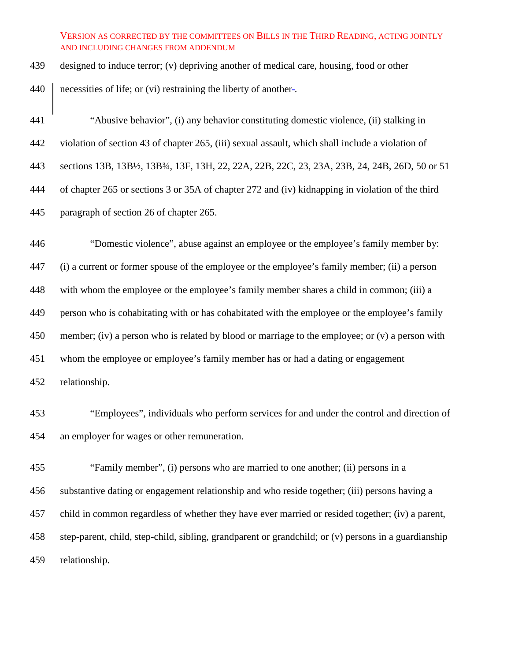designed to induce terror; (v) depriving another of medical care, housing, food or other

440 necessities of life; or (vi) restraining the liberty of another-.

 "Abusive behavior", (i) any behavior constituting domestic violence, (ii) stalking in violation of section 43 of chapter 265, (iii) sexual assault, which shall include a violation of sections 13B, 13B½, 13B¾, 13F, 13H, 22, 22A, 22B, 22C, 23, 23A, 23B, 24, 24B, 26D, 50 or 51 of chapter 265 or sections 3 or 35A of chapter 272 and (iv) kidnapping in violation of the third paragraph of section 26 of chapter 265. "Domestic violence", abuse against an employee or the employee's family member by:

 (i) a current or former spouse of the employee or the employee's family member; (ii) a person with whom the employee or the employee's family member shares a child in common; (iii) a person who is cohabitating with or has cohabitated with the employee or the employee's family member; (iv) a person who is related by blood or marriage to the employee; or (v) a person with whom the employee or employee's family member has or had a dating or engagement relationship.

 "Employees", individuals who perform services for and under the control and direction of an employer for wages or other remuneration.

 "Family member", (i) persons who are married to one another; (ii) persons in a substantive dating or engagement relationship and who reside together; (iii) persons having a child in common regardless of whether they have ever married or resided together; (iv) a parent, step-parent, child, step-child, sibling, grandparent or grandchild; or (v) persons in a guardianship relationship.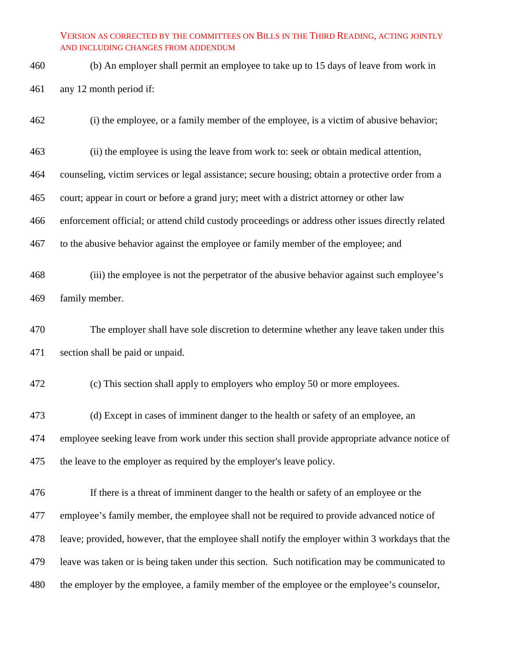- (b) An employer shall permit an employee to take up to 15 days of leave from work in any 12 month period if:
- (i) the employee, or a family member of the employee, is a victim of abusive behavior;
- (ii) the employee is using the leave from work to: seek or obtain medical attention,
- counseling, victim services or legal assistance; secure housing; obtain a protective order from a
- court; appear in court or before a grand jury; meet with a district attorney or other law
- enforcement official; or attend child custody proceedings or address other issues directly related
- to the abusive behavior against the employee or family member of the employee; and
- (iii) the employee is not the perpetrator of the abusive behavior against such employee's family member.
- The employer shall have sole discretion to determine whether any leave taken under this section shall be paid or unpaid.
- (c) This section shall apply to employers who employ 50 or more employees.
- (d) Except in cases of imminent danger to the health or safety of an employee, an employee seeking leave from work under this section shall provide appropriate advance notice of the leave to the employer as required by the employer's leave policy.
- If there is a threat of imminent danger to the health or safety of an employee or the employee's family member, the employee shall not be required to provide advanced notice of leave; provided, however, that the employee shall notify the employer within 3 workdays that the leave was taken or is being taken under this section. Such notification may be communicated to 480 the employer by the employee, a family member of the employee or the employee's counselor,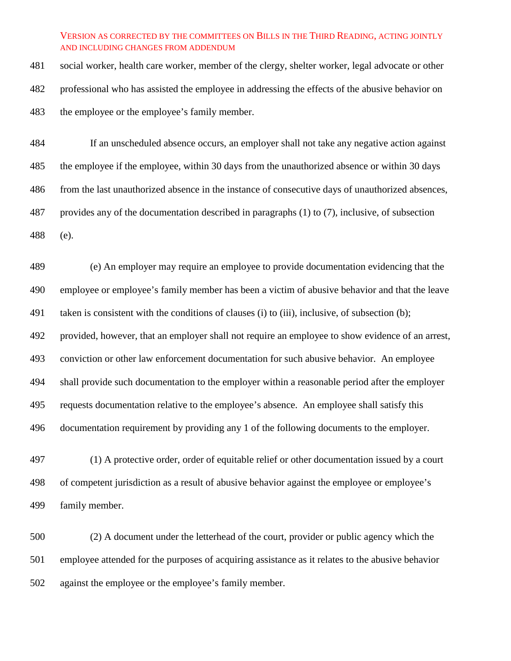social worker, health care worker, member of the clergy, shelter worker, legal advocate or other professional who has assisted the employee in addressing the effects of the abusive behavior on 483 the employee or the employee's family member.

 If an unscheduled absence occurs, an employer shall not take any negative action against the employee if the employee, within 30 days from the unauthorized absence or within 30 days from the last unauthorized absence in the instance of consecutive days of unauthorized absences, provides any of the documentation described in paragraphs (1) to (7), inclusive, of subsection (e).

 (e) An employer may require an employee to provide documentation evidencing that the employee or employee's family member has been a victim of abusive behavior and that the leave taken is consistent with the conditions of clauses (i) to (iii), inclusive, of subsection (b); provided, however, that an employer shall not require an employee to show evidence of an arrest, conviction or other law enforcement documentation for such abusive behavior. An employee shall provide such documentation to the employer within a reasonable period after the employer requests documentation relative to the employee's absence. An employee shall satisfy this documentation requirement by providing any 1 of the following documents to the employer.

 (1) A protective order, order of equitable relief or other documentation issued by a court of competent jurisdiction as a result of abusive behavior against the employee or employee's family member.

 (2) A document under the letterhead of the court, provider or public agency which the employee attended for the purposes of acquiring assistance as it relates to the abusive behavior against the employee or the employee's family member.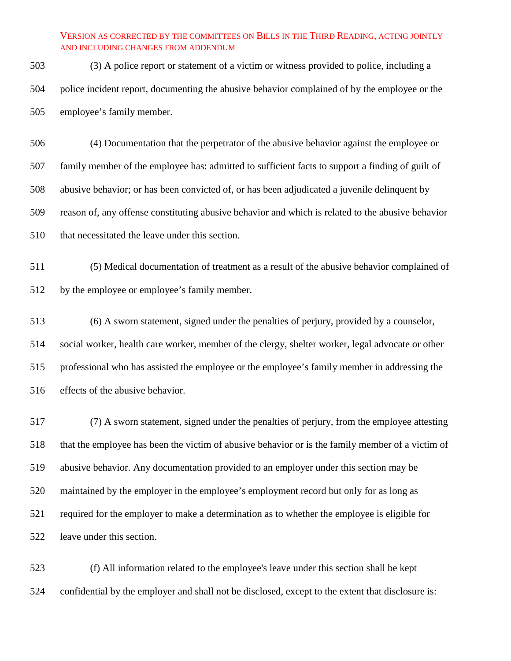(3) A police report or statement of a victim or witness provided to police, including a police incident report, documenting the abusive behavior complained of by the employee or the employee's family member.

 (4) Documentation that the perpetrator of the abusive behavior against the employee or family member of the employee has: admitted to sufficient facts to support a finding of guilt of abusive behavior; or has been convicted of, or has been adjudicated a juvenile delinquent by reason of, any offense constituting abusive behavior and which is related to the abusive behavior that necessitated the leave under this section.

 (5) Medical documentation of treatment as a result of the abusive behavior complained of by the employee or employee's family member.

 (6) A sworn statement, signed under the penalties of perjury, provided by a counselor, social worker, health care worker, member of the clergy, shelter worker, legal advocate or other professional who has assisted the employee or the employee's family member in addressing the effects of the abusive behavior.

 (7) A sworn statement, signed under the penalties of perjury, from the employee attesting that the employee has been the victim of abusive behavior or is the family member of a victim of abusive behavior. Any documentation provided to an employer under this section may be 520 maintained by the employer in the employee's employment record but only for as long as required for the employer to make a determination as to whether the employee is eligible for leave under this section.

 (f) All information related to the employee's leave under this section shall be kept confidential by the employer and shall not be disclosed, except to the extent that disclosure is: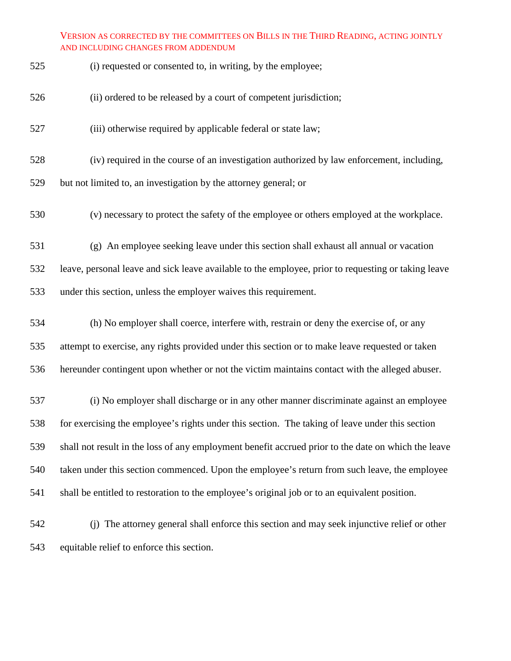| 525 | (i) requested or consented to, in writing, by the employee; |
|-----|-------------------------------------------------------------|
|-----|-------------------------------------------------------------|

- (ii) ordered to be released by a court of competent jurisdiction;
- 527 (iii) otherwise required by applicable federal or state law;
- (iv) required in the course of an investigation authorized by law enforcement, including,
- but not limited to, an investigation by the attorney general; or
- (v) necessary to protect the safety of the employee or others employed at the workplace.
- (g) An employee seeking leave under this section shall exhaust all annual or vacation

leave, personal leave and sick leave available to the employee, prior to requesting or taking leave

under this section, unless the employer waives this requirement.

- (h) No employer shall coerce, interfere with, restrain or deny the exercise of, or any attempt to exercise, any rights provided under this section or to make leave requested or taken hereunder contingent upon whether or not the victim maintains contact with the alleged abuser.
- (i) No employer shall discharge or in any other manner discriminate against an employee for exercising the employee's rights under this section. The taking of leave under this section shall not result in the loss of any employment benefit accrued prior to the date on which the leave taken under this section commenced. Upon the employee's return from such leave, the employee shall be entitled to restoration to the employee's original job or to an equivalent position.
- (j) The attorney general shall enforce this section and may seek injunctive relief or other equitable relief to enforce this section.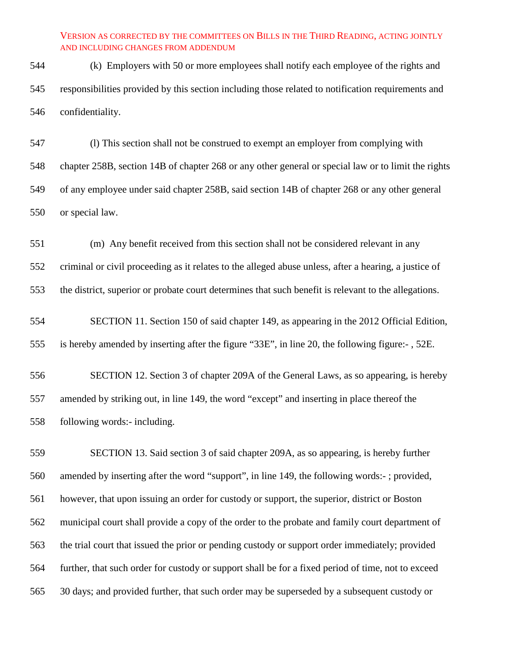(k) Employers with 50 or more employees shall notify each employee of the rights and responsibilities provided by this section including those related to notification requirements and confidentiality.

 (l) This section shall not be construed to exempt an employer from complying with chapter 258B, section 14B of chapter 268 or any other general or special law or to limit the rights of any employee under said chapter 258B, said section 14B of chapter 268 or any other general or special law.

 (m) Any benefit received from this section shall not be considered relevant in any criminal or civil proceeding as it relates to the alleged abuse unless, after a hearing, a justice of the district, superior or probate court determines that such benefit is relevant to the allegations.

 SECTION 11. Section 150 of said chapter 149, as appearing in the 2012 Official Edition, is hereby amended by inserting after the figure "33E", in line 20, the following figure:- , 52E.

 SECTION 12. Section 3 of chapter 209A of the General Laws, as so appearing, is hereby amended by striking out, in line 149, the word "except" and inserting in place thereof the following words:- including.

 SECTION 13. Said section 3 of said chapter 209A, as so appearing, is hereby further amended by inserting after the word "support", in line 149, the following words:- ; provided, however, that upon issuing an order for custody or support, the superior, district or Boston municipal court shall provide a copy of the order to the probate and family court department of the trial court that issued the prior or pending custody or support order immediately; provided further, that such order for custody or support shall be for a fixed period of time, not to exceed 30 days; and provided further, that such order may be superseded by a subsequent custody or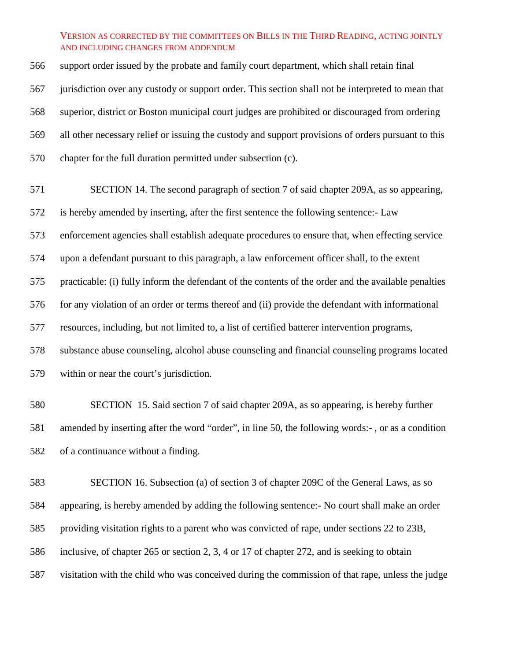support order issued by the probate and family court department, which shall retain final jurisdiction over any custody or support order. This section shall not be interpreted to mean that superior, district or Boston municipal court judges are prohibited or discouraged from ordering all other necessary relief or issuing the custody and support provisions of orders pursuant to this chapter for the full duration permitted under subsection (c).

 SECTION 14. The second paragraph of section 7 of said chapter 209A, as so appearing, is hereby amended by inserting, after the first sentence the following sentence:- Law enforcement agencies shall establish adequate procedures to ensure that, when effecting service upon a defendant pursuant to this paragraph, a law enforcement officer shall, to the extent practicable: (i) fully inform the defendant of the contents of the order and the available penalties for any violation of an order or terms thereof and (ii) provide the defendant with informational resources, including, but not limited to, a list of certified batterer intervention programs, substance abuse counseling, alcohol abuse counseling and financial counseling programs located within or near the court's jurisdiction.

 SECTION 15. Said section 7 of said chapter 209A, as so appearing, is hereby further amended by inserting after the word "order", in line 50, the following words:- , or as a condition of a continuance without a finding.

 SECTION 16. Subsection (a) of section 3 of chapter 209C of the General Laws, as so appearing, is hereby amended by adding the following sentence:- No court shall make an order providing visitation rights to a parent who was convicted of rape, under sections 22 to 23B, inclusive, of chapter 265 or section 2, 3, 4 or 17 of chapter 272, and is seeking to obtain visitation with the child who was conceived during the commission of that rape, unless the judge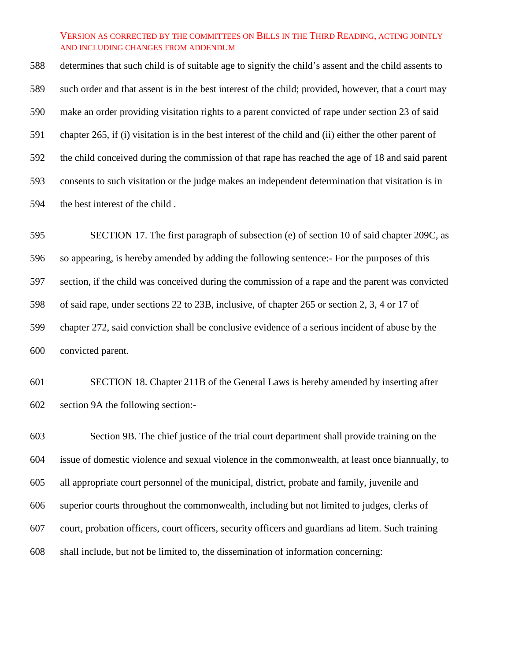determines that such child is of suitable age to signify the child's assent and the child assents to such order and that assent is in the best interest of the child; provided, however, that a court may make an order providing visitation rights to a parent convicted of rape under section 23 of said chapter 265, if (i) visitation is in the best interest of the child and (ii) either the other parent of the child conceived during the commission of that rape has reached the age of 18 and said parent consents to such visitation or the judge makes an independent determination that visitation is in the best interest of the child .

 SECTION 17. The first paragraph of subsection (e) of section 10 of said chapter 209C, as so appearing, is hereby amended by adding the following sentence:- For the purposes of this section, if the child was conceived during the commission of a rape and the parent was convicted of said rape, under sections 22 to 23B, inclusive, of chapter 265 or section 2, 3, 4 or 17 of chapter 272, said conviction shall be conclusive evidence of a serious incident of abuse by the convicted parent.

 SECTION 18. Chapter 211B of the General Laws is hereby amended by inserting after section 9A the following section:-

 Section 9B. The chief justice of the trial court department shall provide training on the issue of domestic violence and sexual violence in the commonwealth, at least once biannually, to all appropriate court personnel of the municipal, district, probate and family, juvenile and superior courts throughout the commonwealth, including but not limited to judges, clerks of court, probation officers, court officers, security officers and guardians ad litem. Such training shall include, but not be limited to, the dissemination of information concerning: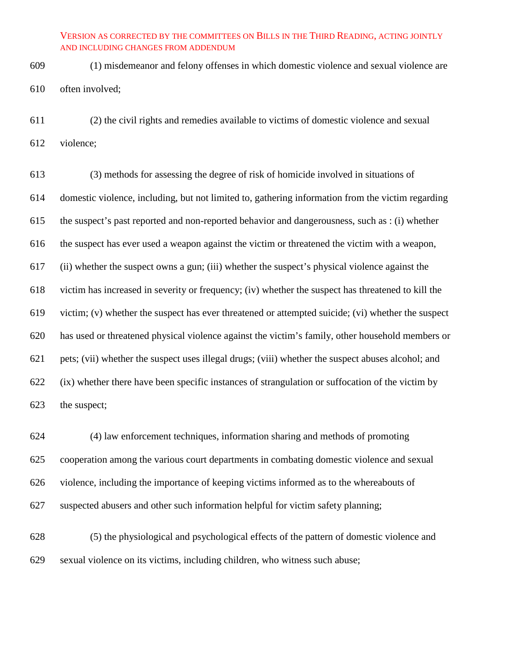(1) misdemeanor and felony offenses in which domestic violence and sexual violence are often involved;

 (2) the civil rights and remedies available to victims of domestic violence and sexual violence;

 (3) methods for assessing the degree of risk of homicide involved in situations of domestic violence, including, but not limited to, gathering information from the victim regarding the suspect's past reported and non-reported behavior and dangerousness, such as : (i) whether the suspect has ever used a weapon against the victim or threatened the victim with a weapon, (ii) whether the suspect owns a gun; (iii) whether the suspect's physical violence against the victim has increased in severity or frequency; (iv) whether the suspect has threatened to kill the victim; (v) whether the suspect has ever threatened or attempted suicide; (vi) whether the suspect has used or threatened physical violence against the victim's family, other household members or pets; (vii) whether the suspect uses illegal drugs; (viii) whether the suspect abuses alcohol; and (ix) whether there have been specific instances of strangulation or suffocation of the victim by the suspect;

 (4) law enforcement techniques, information sharing and methods of promoting cooperation among the various court departments in combating domestic violence and sexual violence, including the importance of keeping victims informed as to the whereabouts of suspected abusers and other such information helpful for victim safety planning;

 (5) the physiological and psychological effects of the pattern of domestic violence and sexual violence on its victims, including children, who witness such abuse;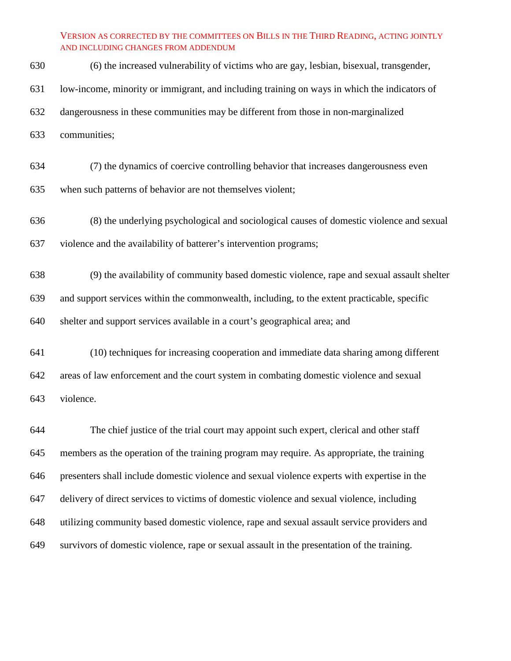(6) the increased vulnerability of victims who are gay, lesbian, bisexual, transgender,

- low-income, minority or immigrant, and including training on ways in which the indicators of
- dangerousness in these communities may be different from those in non-marginalized
- communities;
- (7) the dynamics of coercive controlling behavior that increases dangerousness even

when such patterns of behavior are not themselves violent;

- (8) the underlying psychological and sociological causes of domestic violence and sexual violence and the availability of batterer's intervention programs;
- (9) the availability of community based domestic violence, rape and sexual assault shelter and support services within the commonwealth, including, to the extent practicable, specific shelter and support services available in a court's geographical area; and
- (10) techniques for increasing cooperation and immediate data sharing among different areas of law enforcement and the court system in combating domestic violence and sexual violence.

 The chief justice of the trial court may appoint such expert, clerical and other staff members as the operation of the training program may require. As appropriate, the training presenters shall include domestic violence and sexual violence experts with expertise in the delivery of direct services to victims of domestic violence and sexual violence, including utilizing community based domestic violence, rape and sexual assault service providers and survivors of domestic violence, rape or sexual assault in the presentation of the training.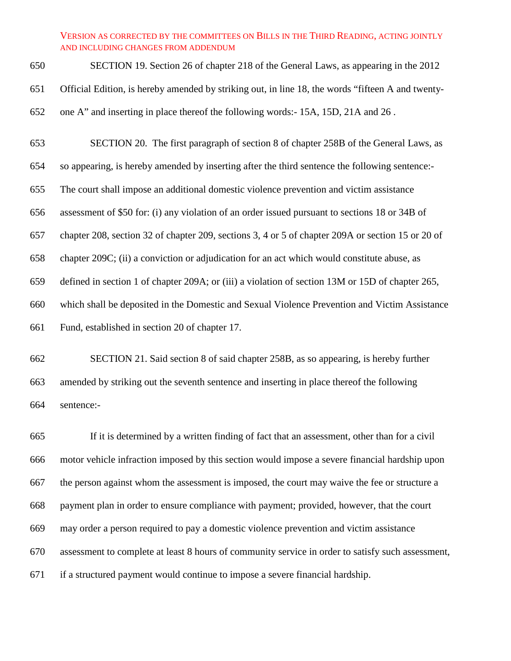SECTION 19. Section 26 of chapter 218 of the General Laws, as appearing in the 2012 Official Edition, is hereby amended by striking out, in line 18, the words "fifteen A and twenty-one A" and inserting in place thereof the following words:- 15A, 15D, 21A and 26 .

SECTION 20. The first paragraph of section 8 of chapter 258B of the General Laws, as

so appearing, is hereby amended by inserting after the third sentence the following sentence:-

The court shall impose an additional domestic violence prevention and victim assistance

assessment of \$50 for: (i) any violation of an order issued pursuant to sections 18 or 34B of

chapter 208, section 32 of chapter 209, sections 3, 4 or 5 of chapter 209A or section 15 or 20 of

chapter 209C; (ii) a conviction or adjudication for an act which would constitute abuse, as

defined in section 1 of chapter 209A; or (iii) a violation of section 13M or 15D of chapter 265,

which shall be deposited in the Domestic and Sexual Violence Prevention and Victim Assistance

Fund, established in section 20 of chapter 17.

 SECTION 21. Said section 8 of said chapter 258B, as so appearing, is hereby further amended by striking out the seventh sentence and inserting in place thereof the following sentence:-

 If it is determined by a written finding of fact that an assessment, other than for a civil motor vehicle infraction imposed by this section would impose a severe financial hardship upon the person against whom the assessment is imposed, the court may waive the fee or structure a payment plan in order to ensure compliance with payment; provided, however, that the court may order a person required to pay a domestic violence prevention and victim assistance assessment to complete at least 8 hours of community service in order to satisfy such assessment, if a structured payment would continue to impose a severe financial hardship.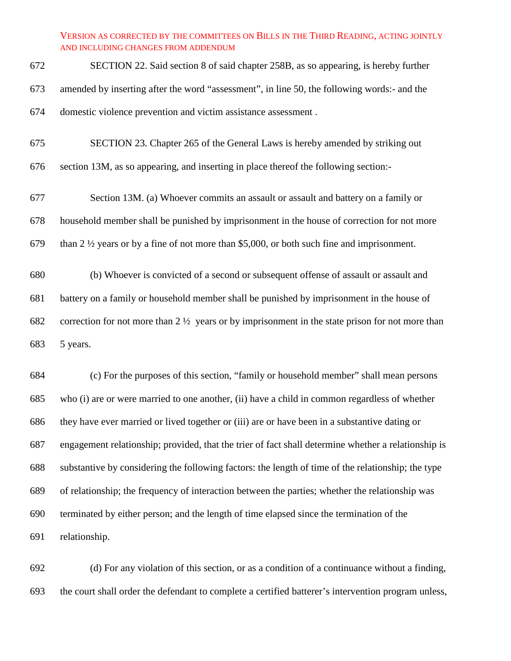- SECTION 22. Said section 8 of said chapter 258B, as so appearing, is hereby further amended by inserting after the word "assessment", in line 50, the following words:- and the domestic violence prevention and victim assistance assessment .
- SECTION 23. Chapter 265 of the General Laws is hereby amended by striking out section 13M, as so appearing, and inserting in place thereof the following section:-
- Section 13M. (a) Whoever commits an assault or assault and battery on a family or household member shall be punished by imprisonment in the house of correction for not more than 2 ½ years or by a fine of not more than \$5,000, or both such fine and imprisonment.
- (b) Whoever is convicted of a second or subsequent offense of assault or assault and battery on a family or household member shall be punished by imprisonment in the house of correction for not more than 2 ½ years or by imprisonment in the state prison for not more than 5 years.

 (c) For the purposes of this section, "family or household member" shall mean persons who (i) are or were married to one another, (ii) have a child in common regardless of whether they have ever married or lived together or (iii) are or have been in a substantive dating or engagement relationship; provided, that the trier of fact shall determine whether a relationship is substantive by considering the following factors: the length of time of the relationship; the type of relationship; the frequency of interaction between the parties; whether the relationship was terminated by either person; and the length of time elapsed since the termination of the relationship.

 (d) For any violation of this section, or as a condition of a continuance without a finding, the court shall order the defendant to complete a certified batterer's intervention program unless,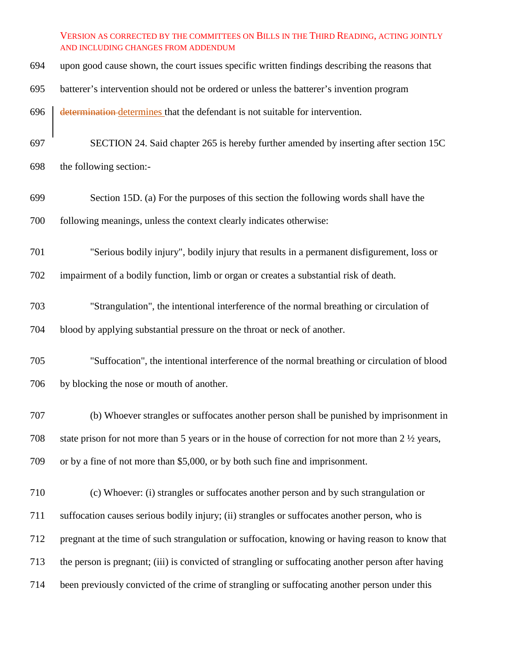- upon good cause shown, the court issues specific written findings describing the reasons that
- batterer's intervention should not be ordered or unless the batterer's invention program
- 696 determination determines that the defendant is not suitable for intervention.
- SECTION 24. Said chapter 265 is hereby further amended by inserting after section 15C
- the following section:-
- Section 15D. (a) For the purposes of this section the following words shall have the following meanings, unless the context clearly indicates otherwise:
- "Serious bodily injury", bodily injury that results in a permanent disfigurement, loss or
- impairment of a bodily function, limb or organ or creates a substantial risk of death.
- "Strangulation", the intentional interference of the normal breathing or circulation of blood by applying substantial pressure on the throat or neck of another.
- "Suffocation", the intentional interference of the normal breathing or circulation of blood by blocking the nose or mouth of another.
- (b) Whoever strangles or suffocates another person shall be punished by imprisonment in state prison for not more than 5 years or in the house of correction for not more than 2 ½ years, or by a fine of not more than \$5,000, or by both such fine and imprisonment.
- (c) Whoever: (i) strangles or suffocates another person and by such strangulation or suffocation causes serious bodily injury; (ii) strangles or suffocates another person, who is pregnant at the time of such strangulation or suffocation, knowing or having reason to know that the person is pregnant; (iii) is convicted of strangling or suffocating another person after having been previously convicted of the crime of strangling or suffocating another person under this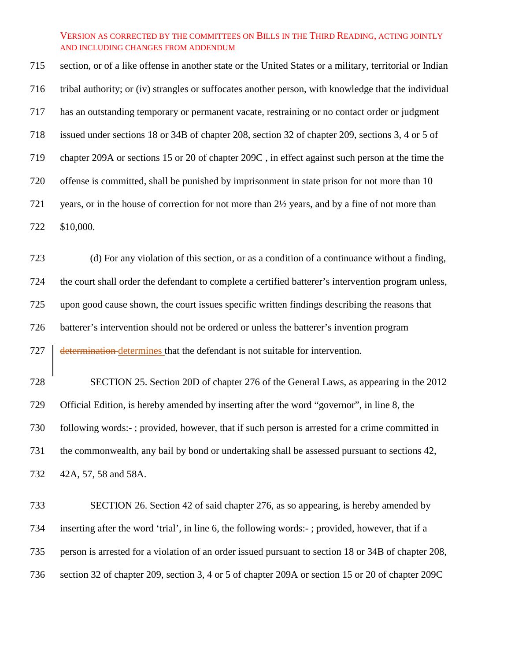section, or of a like offense in another state or the United States or a military, territorial or Indian tribal authority; or (iv) strangles or suffocates another person, with knowledge that the individual has an outstanding temporary or permanent vacate, restraining or no contact order or judgment issued under sections 18 or 34B of chapter 208, section 32 of chapter 209, sections 3, 4 or 5 of chapter 209A or sections 15 or 20 of chapter 209C , in effect against such person at the time the offense is committed, shall be punished by imprisonment in state prison for not more than 10 years, or in the house of correction for not more than 2½ years, and by a fine of not more than \$10,000.

 (d) For any violation of this section, or as a condition of a continuance without a finding, the court shall order the defendant to complete a certified batterer's intervention program unless, upon good cause shown, the court issues specific written findings describing the reasons that batterer's intervention should not be ordered or unless the batterer's invention program **determination** determines that the defendant is not suitable for intervention.

 SECTION 25. Section 20D of chapter 276 of the General Laws, as appearing in the 2012 Official Edition, is hereby amended by inserting after the word "governor", in line 8, the following words:- ; provided, however, that if such person is arrested for a crime committed in the commonwealth, any bail by bond or undertaking shall be assessed pursuant to sections 42, 42A, 57, 58 and 58A.

 SECTION 26. Section 42 of said chapter 276, as so appearing, is hereby amended by inserting after the word 'trial', in line 6, the following words:- ; provided, however, that if a person is arrested for a violation of an order issued pursuant to section 18 or 34B of chapter 208, section 32 of chapter 209, section 3, 4 or 5 of chapter 209A or section 15 or 20 of chapter 209C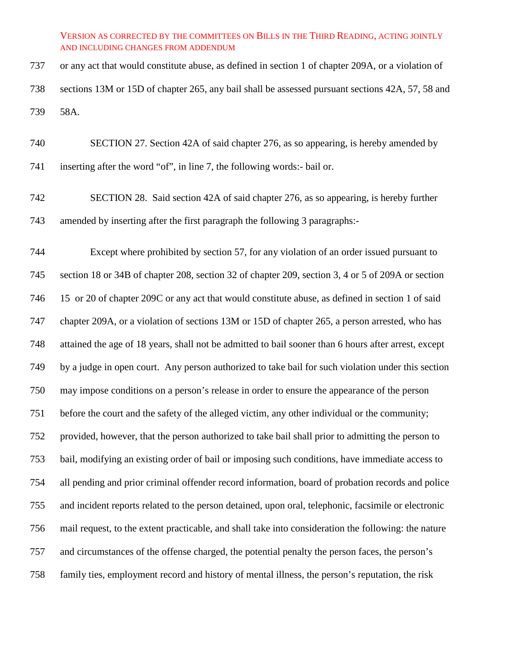or any act that would constitute abuse, as defined in section 1 of chapter 209A, or a violation of sections 13M or 15D of chapter 265, any bail shall be assessed pursuant sections 42A, 57, 58 and 58A.

 SECTION 27. Section 42A of said chapter 276, as so appearing, is hereby amended by inserting after the word "of", in line 7, the following words:- bail or.

 SECTION 28. Said section 42A of said chapter 276, as so appearing, is hereby further amended by inserting after the first paragraph the following 3 paragraphs:-

 Except where prohibited by section 57, for any violation of an order issued pursuant to section 18 or 34B of chapter 208, section 32 of chapter 209, section 3, 4 or 5 of 209A or section 15 or 20 of chapter 209C or any act that would constitute abuse, as defined in section 1 of said chapter 209A, or a violation of sections 13M or 15D of chapter 265, a person arrested, who has attained the age of 18 years, shall not be admitted to bail sooner than 6 hours after arrest, except by a judge in open court. Any person authorized to take bail for such violation under this section may impose conditions on a person's release in order to ensure the appearance of the person before the court and the safety of the alleged victim, any other individual or the community; provided, however, that the person authorized to take bail shall prior to admitting the person to bail, modifying an existing order of bail or imposing such conditions, have immediate access to all pending and prior criminal offender record information, board of probation records and police and incident reports related to the person detained, upon oral, telephonic, facsimile or electronic mail request, to the extent practicable, and shall take into consideration the following: the nature and circumstances of the offense charged, the potential penalty the person faces, the person's family ties, employment record and history of mental illness, the person's reputation, the risk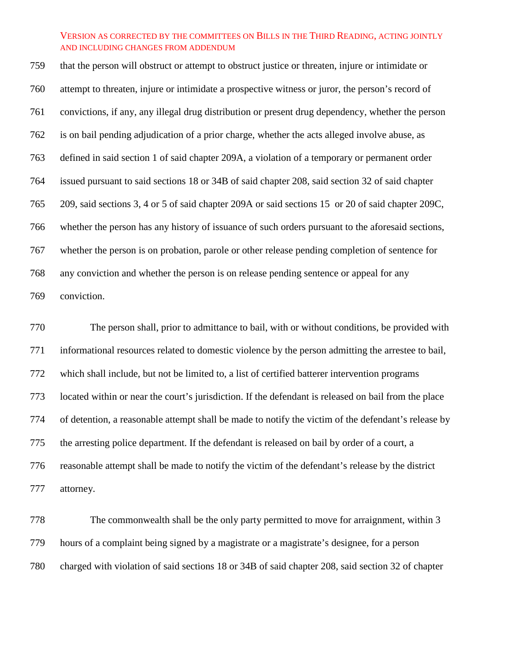that the person will obstruct or attempt to obstruct justice or threaten, injure or intimidate or attempt to threaten, injure or intimidate a prospective witness or juror, the person's record of convictions, if any, any illegal drug distribution or present drug dependency, whether the person is on bail pending adjudication of a prior charge, whether the acts alleged involve abuse, as defined in said section 1 of said chapter 209A, a violation of a temporary or permanent order issued pursuant to said sections 18 or 34B of said chapter 208, said section 32 of said chapter 209, said sections 3, 4 or 5 of said chapter 209A or said sections 15 or 20 of said chapter 209C, whether the person has any history of issuance of such orders pursuant to the aforesaid sections, whether the person is on probation, parole or other release pending completion of sentence for any conviction and whether the person is on release pending sentence or appeal for any conviction.

 The person shall, prior to admittance to bail, with or without conditions, be provided with informational resources related to domestic violence by the person admitting the arrestee to bail, which shall include, but not be limited to, a list of certified batterer intervention programs located within or near the court's jurisdiction. If the defendant is released on bail from the place of detention, a reasonable attempt shall be made to notify the victim of the defendant's release by the arresting police department. If the defendant is released on bail by order of a court, a reasonable attempt shall be made to notify the victim of the defendant's release by the district attorney.

 The commonwealth shall be the only party permitted to move for arraignment, within 3 hours of a complaint being signed by a magistrate or a magistrate's designee, for a person charged with violation of said sections 18 or 34B of said chapter 208, said section 32 of chapter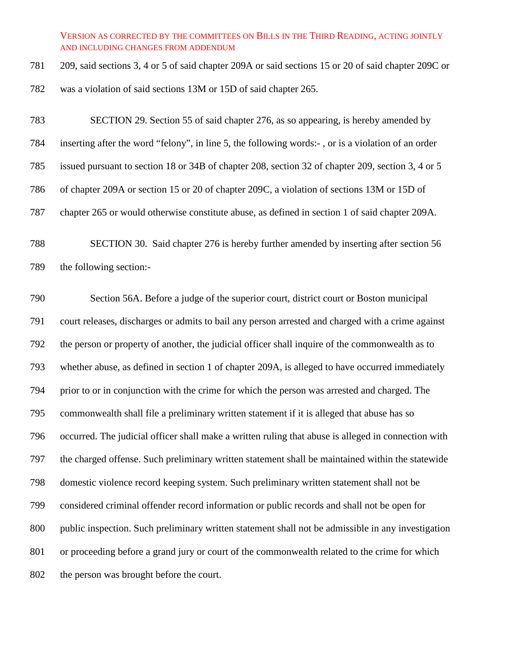209, said sections 3, 4 or 5 of said chapter 209A or said sections 15 or 20 of said chapter 209C or was a violation of said sections 13M or 15D of said chapter 265.

 SECTION 29. Section 55 of said chapter 276, as so appearing, is hereby amended by inserting after the word "felony", in line 5, the following words:- , or is a violation of an order issued pursuant to section 18 or 34B of chapter 208, section 32 of chapter 209, section 3, 4 or 5 of chapter 209A or section 15 or 20 of chapter 209C, a violation of sections 13M or 15D of chapter 265 or would otherwise constitute abuse, as defined in section 1 of said chapter 209A.

 SECTION 30. Said chapter 276 is hereby further amended by inserting after section 56 the following section:-

 Section 56A. Before a judge of the superior court, district court or Boston municipal court releases, discharges or admits to bail any person arrested and charged with a crime against the person or property of another, the judicial officer shall inquire of the commonwealth as to whether abuse, as defined in section 1 of chapter 209A, is alleged to have occurred immediately prior to or in conjunction with the crime for which the person was arrested and charged. The commonwealth shall file a preliminary written statement if it is alleged that abuse has so occurred. The judicial officer shall make a written ruling that abuse is alleged in connection with the charged offense. Such preliminary written statement shall be maintained within the statewide domestic violence record keeping system. Such preliminary written statement shall not be considered criminal offender record information or public records and shall not be open for public inspection. Such preliminary written statement shall not be admissible in any investigation or proceeding before a grand jury or court of the commonwealth related to the crime for which the person was brought before the court.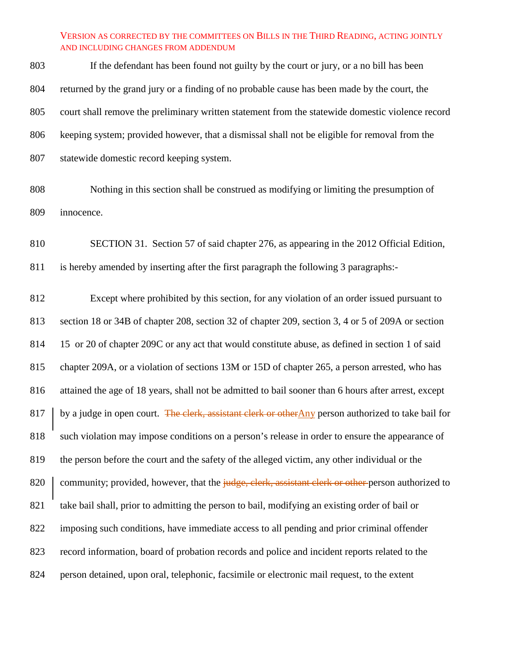If the defendant has been found not guilty by the court or jury, or a no bill has been returned by the grand jury or a finding of no probable cause has been made by the court, the court shall remove the preliminary written statement from the statewide domestic violence record keeping system; provided however, that a dismissal shall not be eligible for removal from the statewide domestic record keeping system.

- Nothing in this section shall be construed as modifying or limiting the presumption of innocence.
- SECTION 31. Section 57 of said chapter 276, as appearing in the 2012 Official Edition, is hereby amended by inserting after the first paragraph the following 3 paragraphs:-

 Except where prohibited by this section, for any violation of an order issued pursuant to section 18 or 34B of chapter 208, section 32 of chapter 209, section 3, 4 or 5 of 209A or section 15 or 20 of chapter 209C or any act that would constitute abuse, as defined in section 1 of said chapter 209A, or a violation of sections 13M or 15D of chapter 265, a person arrested, who has attained the age of 18 years, shall not be admitted to bail sooner than 6 hours after arrest, except 817 by a judge in open court. The clerk, assistant clerk or otherAny person authorized to take bail for such violation may impose conditions on a person's release in order to ensure the appearance of the person before the court and the safety of the alleged victim, any other individual or the 820 community; provided, however, that the judge, clerk, assistant clerk or other person authorized to take bail shall, prior to admitting the person to bail, modifying an existing order of bail or imposing such conditions, have immediate access to all pending and prior criminal offender record information, board of probation records and police and incident reports related to the person detained, upon oral, telephonic, facsimile or electronic mail request, to the extent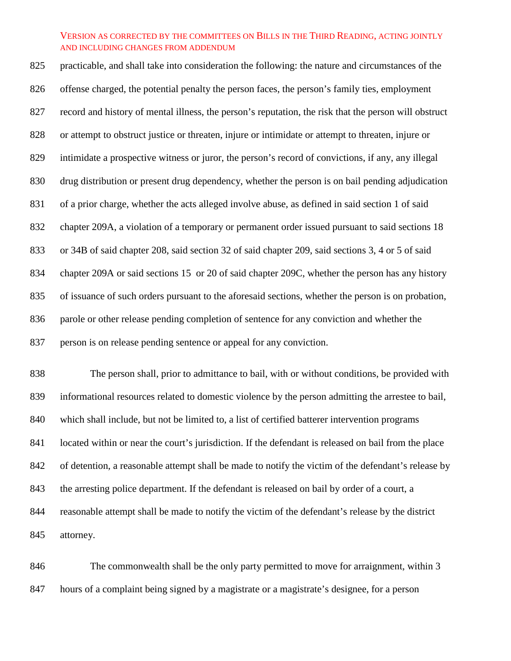practicable, and shall take into consideration the following: the nature and circumstances of the offense charged, the potential penalty the person faces, the person's family ties, employment record and history of mental illness, the person's reputation, the risk that the person will obstruct or attempt to obstruct justice or threaten, injure or intimidate or attempt to threaten, injure or intimidate a prospective witness or juror, the person's record of convictions, if any, any illegal drug distribution or present drug dependency, whether the person is on bail pending adjudication of a prior charge, whether the acts alleged involve abuse, as defined in said section 1 of said chapter 209A, a violation of a temporary or permanent order issued pursuant to said sections 18 or 34B of said chapter 208, said section 32 of said chapter 209, said sections 3, 4 or 5 of said chapter 209A or said sections 15 or 20 of said chapter 209C, whether the person has any history of issuance of such orders pursuant to the aforesaid sections, whether the person is on probation, parole or other release pending completion of sentence for any conviction and whether the person is on release pending sentence or appeal for any conviction.

 The person shall, prior to admittance to bail, with or without conditions, be provided with informational resources related to domestic violence by the person admitting the arrestee to bail, which shall include, but not be limited to, a list of certified batterer intervention programs located within or near the court's jurisdiction. If the defendant is released on bail from the place of detention, a reasonable attempt shall be made to notify the victim of the defendant's release by the arresting police department. If the defendant is released on bail by order of a court, a reasonable attempt shall be made to notify the victim of the defendant's release by the district attorney.

 The commonwealth shall be the only party permitted to move for arraignment, within 3 hours of a complaint being signed by a magistrate or a magistrate's designee, for a person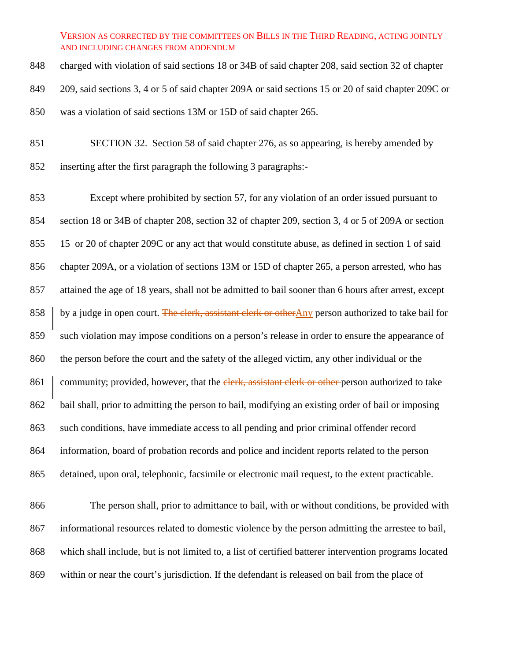charged with violation of said sections 18 or 34B of said chapter 208, said section 32 of chapter 209, said sections 3, 4 or 5 of said chapter 209A or said sections 15 or 20 of said chapter 209C or was a violation of said sections 13M or 15D of said chapter 265.

 SECTION 32. Section 58 of said chapter 276, as so appearing, is hereby amended by inserting after the first paragraph the following 3 paragraphs:-

 Except where prohibited by section 57, for any violation of an order issued pursuant to section 18 or 34B of chapter 208, section 32 of chapter 209, section 3, 4 or 5 of 209A or section 15 or 20 of chapter 209C or any act that would constitute abuse, as defined in section 1 of said chapter 209A, or a violation of sections 13M or 15D of chapter 265, a person arrested, who has attained the age of 18 years, shall not be admitted to bail sooner than 6 hours after arrest, except 858 by a judge in open court. The clerk, assistant clerk or otherAny person authorized to take bail for such violation may impose conditions on a person's release in order to ensure the appearance of the person before the court and the safety of the alleged victim, any other individual or the 861 community; provided, however, that the elerk, assistant clerk or other person authorized to take bail shall, prior to admitting the person to bail, modifying an existing order of bail or imposing such conditions, have immediate access to all pending and prior criminal offender record information, board of probation records and police and incident reports related to the person detained, upon oral, telephonic, facsimile or electronic mail request, to the extent practicable. The person shall, prior to admittance to bail, with or without conditions, be provided with

 informational resources related to domestic violence by the person admitting the arrestee to bail, which shall include, but is not limited to, a list of certified batterer intervention programs located within or near the court's jurisdiction. If the defendant is released on bail from the place of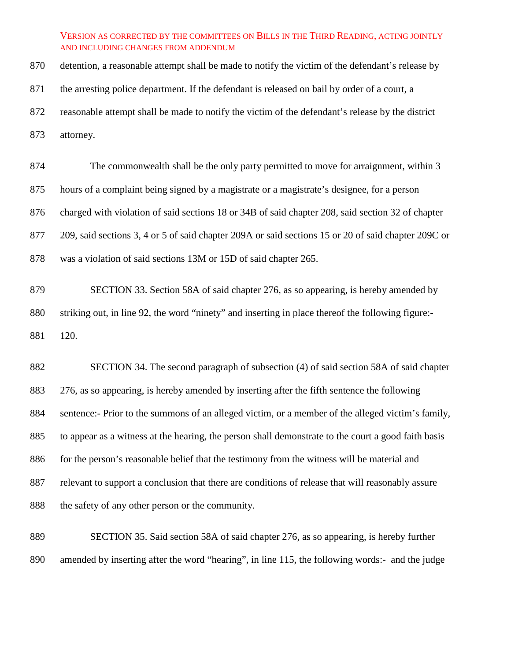detention, a reasonable attempt shall be made to notify the victim of the defendant's release by 871 the arresting police department. If the defendant is released on bail by order of a court, a reasonable attempt shall be made to notify the victim of the defendant's release by the district attorney.

 The commonwealth shall be the only party permitted to move for arraignment, within 3 hours of a complaint being signed by a magistrate or a magistrate's designee, for a person charged with violation of said sections 18 or 34B of said chapter 208, said section 32 of chapter 209, said sections 3, 4 or 5 of said chapter 209A or said sections 15 or 20 of said chapter 209C or was a violation of said sections 13M or 15D of said chapter 265.

 SECTION 33. Section 58A of said chapter 276, as so appearing, is hereby amended by striking out, in line 92, the word "ninety" and inserting in place thereof the following figure:- 120.

 SECTION 34. The second paragraph of subsection (4) of said section 58A of said chapter 276, as so appearing, is hereby amended by inserting after the fifth sentence the following sentence:- Prior to the summons of an alleged victim, or a member of the alleged victim's family, to appear as a witness at the hearing, the person shall demonstrate to the court a good faith basis 886 for the person's reasonable belief that the testimony from the witness will be material and relevant to support a conclusion that there are conditions of release that will reasonably assure the safety of any other person or the community.

 SECTION 35. Said section 58A of said chapter 276, as so appearing, is hereby further amended by inserting after the word "hearing", in line 115, the following words:- and the judge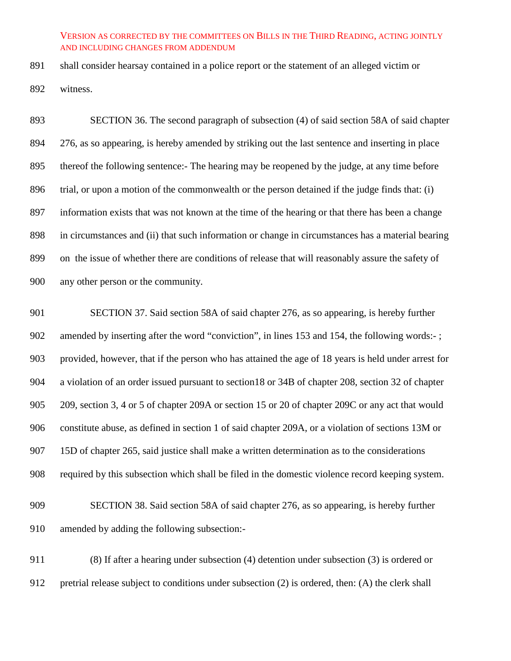shall consider hearsay contained in a police report or the statement of an alleged victim or witness.

 SECTION 36. The second paragraph of subsection (4) of said section 58A of said chapter 276, as so appearing, is hereby amended by striking out the last sentence and inserting in place thereof the following sentence:- The hearing may be reopened by the judge, at any time before trial, or upon a motion of the commonwealth or the person detained if the judge finds that: (i) information exists that was not known at the time of the hearing or that there has been a change in circumstances and (ii) that such information or change in circumstances has a material bearing on the issue of whether there are conditions of release that will reasonably assure the safety of any other person or the community.

 SECTION 37. Said section 58A of said chapter 276, as so appearing, is hereby further amended by inserting after the word "conviction", in lines 153 and 154, the following words:- ; provided, however, that if the person who has attained the age of 18 years is held under arrest for a violation of an order issued pursuant to section18 or 34B of chapter 208, section 32 of chapter 209, section 3, 4 or 5 of chapter 209A or section 15 or 20 of chapter 209C or any act that would constitute abuse, as defined in section 1 of said chapter 209A, or a violation of sections 13M or 15D of chapter 265, said justice shall make a written determination as to the considerations required by this subsection which shall be filed in the domestic violence record keeping system.

 SECTION 38. Said section 58A of said chapter 276, as so appearing, is hereby further amended by adding the following subsection:-

 (8) If after a hearing under subsection (4) detention under subsection (3) is ordered or pretrial release subject to conditions under subsection (2) is ordered, then: (A) the clerk shall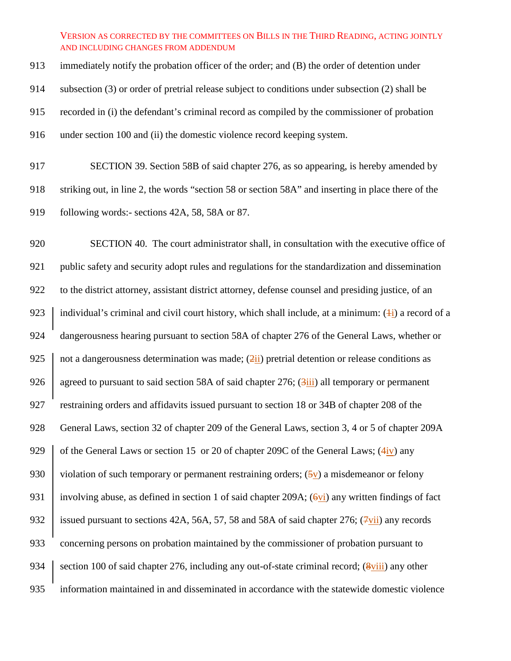immediately notify the probation officer of the order; and (B) the order of detention under subsection (3) or order of pretrial release subject to conditions under subsection (2) shall be recorded in (i) the defendant's criminal record as compiled by the commissioner of probation under section 100 and (ii) the domestic violence record keeping system.

917 SECTION 39. Section 58B of said chapter 276, as so appearing, is hereby amended by 918 striking out, in line 2, the words "section 58 or section 58A" and inserting in place there of the 919 following words:- sections 42A, 58, 58A or 87.

920 SECTION 40. The court administrator shall, in consultation with the executive office of 921 public safety and security adopt rules and regulations for the standardization and dissemination 922 to the district attorney, assistant district attorney, defense counsel and presiding justice, of an 923 individual's criminal and civil court history, which shall include, at a minimum:  $(\pm i)$  a record of a 924 dangerousness hearing pursuant to section 58A of chapter 276 of the General Laws, whether or 925 not a dangerousness determination was made;  $(2ii)$  pretrial detention or release conditions as 926 agreed to pursuant to said section 58A of said chapter 276;  $(3iii)$  all temporary or permanent 927 restraining orders and affidavits issued pursuant to section 18 or 34B of chapter 208 of the 928 General Laws, section 32 of chapter 209 of the General Laws, section 3, 4 or 5 of chapter 209A 929  $\parallel$  of the General Laws or section 15 or 20 of chapter 209C of the General Laws; (4iv) any 930 violation of such temporary or permanent restraining orders;  $(5v)$  a misdemeanor or felony 931 involving abuse, as defined in section 1 of said chapter 209A;  $(6vi)$  any written findings of fact 932 issued pursuant to sections 42A, 56A, 57, 58 and 58A of said chapter 276;  $(\frac{7}{\text{V}}\text{ii})$  any records 933 concerning persons on probation maintained by the commissioner of probation pursuant to 934 section 100 of said chapter 276, including any out-of-state criminal record;  $(8\text{viii})$  any other 935 information maintained in and disseminated in accordance with the statewide domestic violence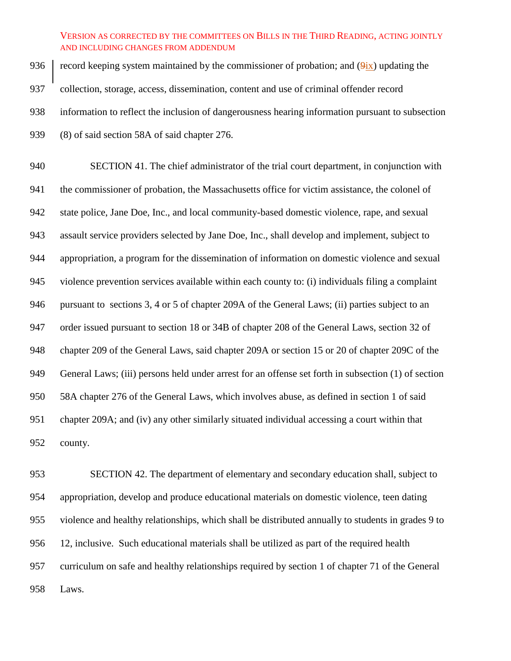936 record keeping system maintained by the commissioner of probation; and  $(\frac{9ix}{1})$  updating the collection, storage, access, dissemination, content and use of criminal offender record information to reflect the inclusion of dangerousness hearing information pursuant to subsection (8) of said section 58A of said chapter 276.

 SECTION 41. The chief administrator of the trial court department, in conjunction with the commissioner of probation, the Massachusetts office for victim assistance, the colonel of state police, Jane Doe, Inc., and local community-based domestic violence, rape, and sexual assault service providers selected by Jane Doe, Inc., shall develop and implement, subject to appropriation, a program for the dissemination of information on domestic violence and sexual violence prevention services available within each county to: (i) individuals filing a complaint pursuant to sections 3, 4 or 5 of chapter 209A of the General Laws; (ii) parties subject to an order issued pursuant to section 18 or 34B of chapter 208 of the General Laws, section 32 of chapter 209 of the General Laws, said chapter 209A or section 15 or 20 of chapter 209C of the General Laws; (iii) persons held under arrest for an offense set forth in subsection (1) of section 58A chapter 276 of the General Laws, which involves abuse, as defined in section 1 of said chapter 209A; and (iv) any other similarly situated individual accessing a court within that county.

 SECTION 42. The department of elementary and secondary education shall, subject to appropriation, develop and produce educational materials on domestic violence, teen dating violence and healthy relationships, which shall be distributed annually to students in grades 9 to 12, inclusive. Such educational materials shall be utilized as part of the required health curriculum on safe and healthy relationships required by section 1 of chapter 71 of the General Laws.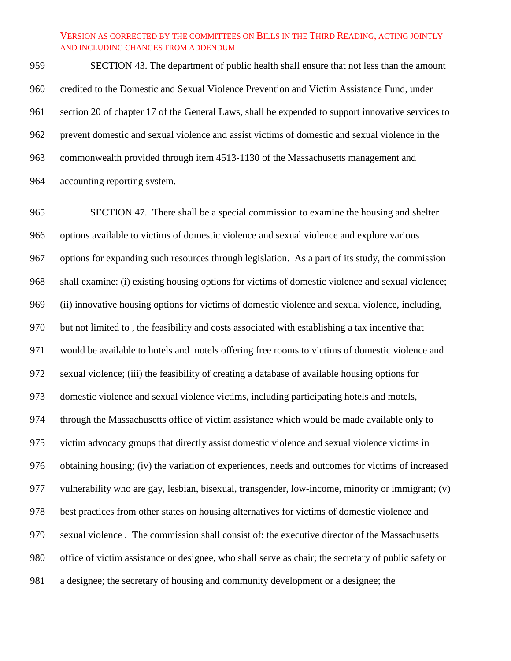SECTION 43. The department of public health shall ensure that not less than the amount credited to the Domestic and Sexual Violence Prevention and Victim Assistance Fund, under section 20 of chapter 17 of the General Laws, shall be expended to support innovative services to prevent domestic and sexual violence and assist victims of domestic and sexual violence in the commonwealth provided through item 4513-1130 of the Massachusetts management and accounting reporting system.

 SECTION 47. There shall be a special commission to examine the housing and shelter options available to victims of domestic violence and sexual violence and explore various options for expanding such resources through legislation. As a part of its study, the commission shall examine: (i) existing housing options for victims of domestic violence and sexual violence; (ii) innovative housing options for victims of domestic violence and sexual violence, including, but not limited to , the feasibility and costs associated with establishing a tax incentive that would be available to hotels and motels offering free rooms to victims of domestic violence and sexual violence; (iii) the feasibility of creating a database of available housing options for domestic violence and sexual violence victims, including participating hotels and motels, through the Massachusetts office of victim assistance which would be made available only to victim advocacy groups that directly assist domestic violence and sexual violence victims in obtaining housing; (iv) the variation of experiences, needs and outcomes for victims of increased vulnerability who are gay, lesbian, bisexual, transgender, low-income, minority or immigrant; (v) best practices from other states on housing alternatives for victims of domestic violence and sexual violence . The commission shall consist of: the executive director of the Massachusetts office of victim assistance or designee, who shall serve as chair; the secretary of public safety or a designee; the secretary of housing and community development or a designee; the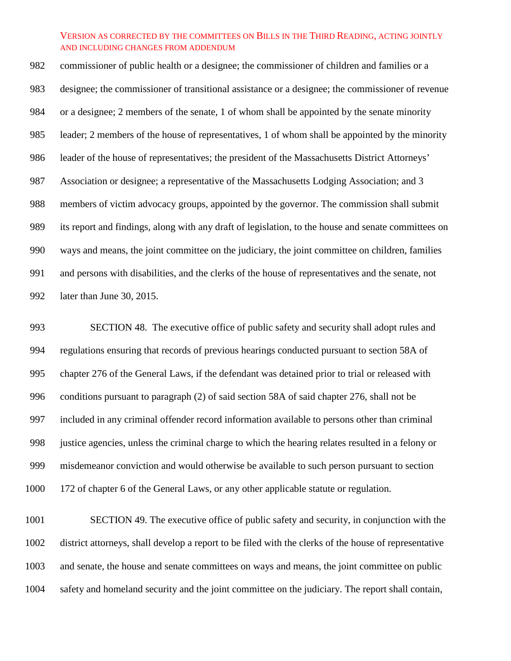commissioner of public health or a designee; the commissioner of children and families or a designee; the commissioner of transitional assistance or a designee; the commissioner of revenue or a designee; 2 members of the senate, 1 of whom shall be appointed by the senate minority leader; 2 members of the house of representatives, 1 of whom shall be appointed by the minority leader of the house of representatives; the president of the Massachusetts District Attorneys' Association or designee; a representative of the Massachusetts Lodging Association; and 3 members of victim advocacy groups, appointed by the governor. The commission shall submit its report and findings, along with any draft of legislation, to the house and senate committees on ways and means, the joint committee on the judiciary, the joint committee on children, families and persons with disabilities, and the clerks of the house of representatives and the senate, not later than June 30, 2015.

 SECTION 48. The executive office of public safety and security shall adopt rules and regulations ensuring that records of previous hearings conducted pursuant to section 58A of chapter 276 of the General Laws, if the defendant was detained prior to trial or released with conditions pursuant to paragraph (2) of said section 58A of said chapter 276, shall not be included in any criminal offender record information available to persons other than criminal justice agencies, unless the criminal charge to which the hearing relates resulted in a felony or misdemeanor conviction and would otherwise be available to such person pursuant to section 172 of chapter 6 of the General Laws, or any other applicable statute or regulation.

 SECTION 49. The executive office of public safety and security, in conjunction with the district attorneys, shall develop a report to be filed with the clerks of the house of representative and senate, the house and senate committees on ways and means, the joint committee on public safety and homeland security and the joint committee on the judiciary. The report shall contain,